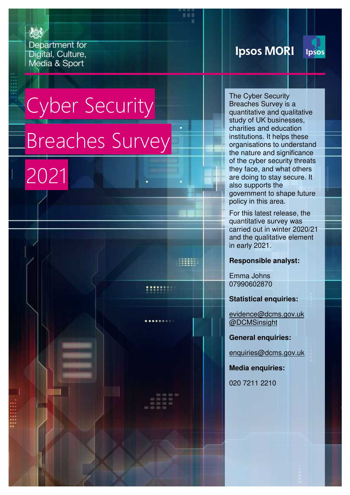Department for Digital, Culture, Media & Sport

# **Ipsos MORI**

The Cyber Security Breaches Survey is a quantitative and qualitative study of UK businesses, charities and education institutions. It helps these organisations to understand the nature and significance of the cyber security threats they face, and what others are doing to stay secure. It

also supports the

policy in this area.

government to shape future

For this latest release, the quantitative survey was carried out in winter 2020/21 and the qualitative element

**Ipsos** 

# Cyber Security Breaches Survey

2021

**Responsible analyst:**

Emma Johns 07990602870

in early 2021.

33333

:::::::

**Statistical enquiries:**

[evidence@dcms.gov.uk](mailto:cyber.survey@dcms.gov.uk)  [@DCMSinsight](http://www.twitter.com/DCMSInsight) 

**General enquiries:**

[enquiries@dcms.gov.uk](mailto:enquiries@dcms.gov.uk) 

**Media enquiries:**

020 7211 2210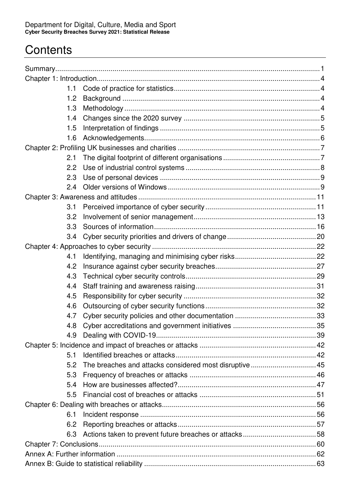# **Contents**

| 1.1 |                                                         |  |  |
|-----|---------------------------------------------------------|--|--|
| 1.2 |                                                         |  |  |
| 1.3 |                                                         |  |  |
| 1.4 |                                                         |  |  |
| 1.5 |                                                         |  |  |
| 1.6 |                                                         |  |  |
|     |                                                         |  |  |
| 2.1 |                                                         |  |  |
| 2.2 |                                                         |  |  |
| 2.3 |                                                         |  |  |
| 2.4 |                                                         |  |  |
|     |                                                         |  |  |
| 3.1 |                                                         |  |  |
| 3.2 |                                                         |  |  |
| 3.3 |                                                         |  |  |
| 3.4 |                                                         |  |  |
|     |                                                         |  |  |
| 4.1 |                                                         |  |  |
| 4.2 |                                                         |  |  |
| 4.3 |                                                         |  |  |
| 4.4 |                                                         |  |  |
| 4.5 |                                                         |  |  |
| 4.6 |                                                         |  |  |
| 4.7 |                                                         |  |  |
| 4.8 |                                                         |  |  |
| 4.9 |                                                         |  |  |
|     |                                                         |  |  |
| 5.1 |                                                         |  |  |
| 5.2 | The breaches and attacks considered most disruptive  45 |  |  |
| 5.3 |                                                         |  |  |
| 5.4 |                                                         |  |  |
| 5.5 |                                                         |  |  |
|     |                                                         |  |  |
| 6.1 |                                                         |  |  |
| 6.2 |                                                         |  |  |
| 6.3 |                                                         |  |  |
|     |                                                         |  |  |
|     |                                                         |  |  |
|     |                                                         |  |  |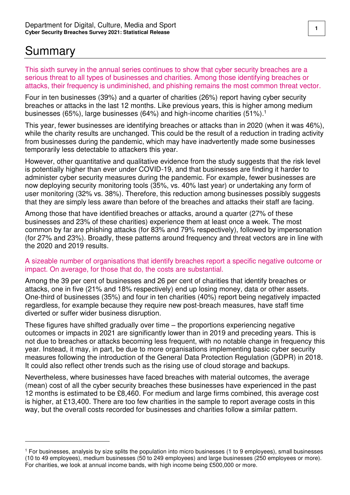# <span id="page-2-0"></span>Summary

 $\overline{a}$ 

This sixth survey in the annual series continues to show that cyber security breaches are a serious threat to all types of businesses and charities. Among those identifying breaches or attacks, their frequency is undiminished, and phishing remains the most common threat vector.

Four in ten businesses (39%) and a quarter of charities (26%) report having cyber security breaches or attacks in the last 12 months. Like previous years, this is higher among medium businesses (65%), large businesses (64%) and high-income charities (51%).<sup>1</sup>

This year, fewer businesses are identifying breaches or attacks than in 2020 (when it was 46%), while the charity results are unchanged. This could be the result of a reduction in trading activity from businesses during the pandemic, which may have inadvertently made some businesses temporarily less detectable to attackers this year.

However, other quantitative and qualitative evidence from the study suggests that the risk level is potentially higher than ever under COVID-19, and that businesses are finding it harder to administer cyber security measures during the pandemic. For example, fewer businesses are now deploying security monitoring tools (35%, vs. 40% last year) or undertaking any form of user monitoring (32% vs. 38%). Therefore, this reduction among businesses possibly suggests that they are simply less aware than before of the breaches and attacks their staff are facing.

Among those that have identified breaches or attacks, around a quarter (27% of these businesses and 23% of these charities) experience them at least once a week. The most common by far are phishing attacks (for 83% and 79% respectively), followed by impersonation (for 27% and 23%). Broadly, these patterns around frequency and threat vectors are in line with the 2020 and 2019 results.

#### A sizeable number of organisations that identify breaches report a specific negative outcome or impact. On average, for those that do, the costs are substantial.

Among the 39 per cent of businesses and 26 per cent of charities that identify breaches or attacks, one in five (21% and 18% respectively) end up losing money, data or other assets. One-third of businesses (35%) and four in ten charities (40%) report being negatively impacted regardless, for example because they require new post-breach measures, have staff time diverted or suffer wider business disruption.

These figures have shifted gradually over time – the proportions experiencing negative outcomes or impacts in 2021 are significantly lower than in 2019 and preceding years. This is not due to breaches or attacks becoming less frequent, with no notable change in frequency this year. Instead, it may, in part, be due to more organisations implementing basic cyber security measures following the introduction of the General Data Protection Regulation (GDPR) in 2018. It could also reflect other trends such as the rising use of cloud storage and backups.

Nevertheless, where businesses have faced breaches with material outcomes, the average (mean) cost of all the cyber security breaches these businesses have experienced in the past 12 months is estimated to be £8,460. For medium and large firms combined, this average cost is higher, at £13,400. There are too few charities in the sample to report average costs in this way, but the overall costs recorded for businesses and charities follow a similar pattern.

<sup>1</sup> For businesses, analysis by size splits the population into micro businesses (1 to 9 employees), small businesses (10 to 49 employees), medium businesses (50 to 249 employees) and large businesses (250 employees or more). For charities, we look at annual income bands, with high income being £500,000 or more.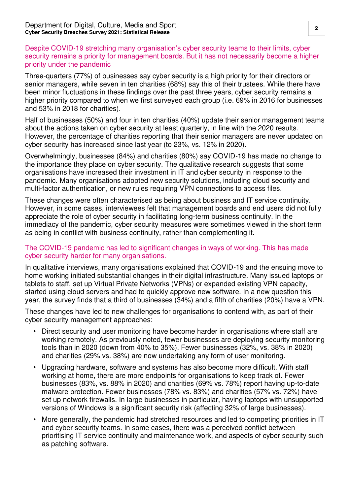#### Despite COVID-19 stretching many organisation's cyber security teams to their limits, cyber security remains a priority for management boards. But it has not necessarily become a higher priority under the pandemic

Three-quarters (77%) of businesses say cyber security is a high priority for their directors or senior managers, while seven in ten charities (68%) say this of their trustees. While there have been minor fluctuations in these findings over the past three years, cyber security remains a higher priority compared to when we first surveyed each group (i.e. 69% in 2016 for businesses and 53% in 2018 for charities).

Half of businesses (50%) and four in ten charities (40%) update their senior management teams about the actions taken on cyber security at least quarterly, in line with the 2020 results. However, the percentage of charities reporting that their senior managers are never updated on cyber security has increased since last year (to 23%, vs. 12% in 2020).

Overwhelmingly, businesses (84%) and charities (80%) say COVID-19 has made no change to the importance they place on cyber security. The qualitative research suggests that some organisations have increased their investment in IT and cyber security in response to the pandemic. Many organisations adopted new security solutions, including cloud security and multi-factor authentication, or new rules requiring VPN connections to access files.

These changes were often characterised as being about business and IT service continuity. However, in some cases, interviewees felt that management boards and end users did not fully appreciate the role of cyber security in facilitating long-term business continuity. In the immediacy of the pandemic, cyber security measures were sometimes viewed in the short term as being in conflict with business continuity, rather than complementing it.

#### The COVID-19 pandemic has led to significant changes in ways of working. This has made cyber security harder for many organisations.

In qualitative interviews, many organisations explained that COVID-19 and the ensuing move to home working initiated substantial changes in their digital infrastructure. Many issued laptops or tablets to staff, set up Virtual Private Networks (VPNs) or expanded existing VPN capacity, started using cloud servers and had to quickly approve new software. In a new question this year, the survey finds that a third of businesses (34%) and a fifth of charities (20%) have a VPN.

These changes have led to new challenges for organisations to contend with, as part of their cyber security management approaches:

- Direct security and user monitoring have become harder in organisations where staff are working remotely. As previously noted, fewer businesses are deploying security monitoring tools than in 2020 (down from 40% to 35%). Fewer businesses (32%, vs. 38% in 2020) and charities (29% vs. 38%) are now undertaking any form of user monitoring.
- Upgrading hardware, software and systems has also become more difficult. With staff working at home, there are more endpoints for organisations to keep track of. Fewer businesses (83%, vs. 88% in 2020) and charities (69% vs. 78%) report having up-to-date malware protection. Fewer businesses (78% vs. 83%) and charities (57% vs. 72%) have set up network firewalls. In large businesses in particular, having laptops with unsupported versions of Windows is a significant security risk (affecting 32% of large businesses).
- More generally, the pandemic had stretched resources and led to competing priorities in IT and cyber security teams. In some cases, there was a perceived conflict between prioritising IT service continuity and maintenance work, and aspects of cyber security such as patching software.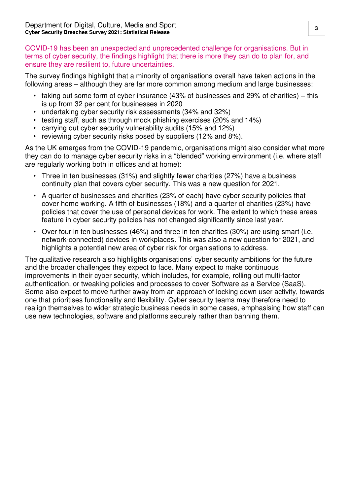COVID-19 has been an unexpected and unprecedented challenge for organisations. But in terms of cyber security, the findings highlight that there is more they can do to plan for, and ensure they are resilient to, future uncertainties.

The survey findings highlight that a minority of organisations overall have taken actions in the following areas – although they are far more common among medium and large businesses:

- taking out some form of cyber insurance (43% of businesses and 29% of charities) this is up from 32 per cent for businesses in 2020
- undertaking cyber security risk assessments (34% and 32%)
- testing staff, such as through mock phishing exercises (20% and 14%)
- carrying out cyber security vulnerability audits (15% and 12%)
- reviewing cyber security risks posed by suppliers (12% and 8%).

As the UK emerges from the COVID-19 pandemic, organisations might also consider what more they can do to manage cyber security risks in a "blended" working environment (i.e. where staff are regularly working both in offices and at home):

- Three in ten businesses (31%) and slightly fewer charities (27%) have a business continuity plan that covers cyber security. This was a new question for 2021.
- A quarter of businesses and charities (23% of each) have cyber security policies that cover home working. A fifth of businesses (18%) and a quarter of charities (23%) have policies that cover the use of personal devices for work. The extent to which these areas feature in cyber security policies has not changed significantly since last year.
- Over four in ten businesses (46%) and three in ten charities (30%) are using smart (i.e. network-connected) devices in workplaces. This was also a new question for 2021, and highlights a potential new area of cyber risk for organisations to address.

The qualitative research also highlights organisations' cyber security ambitions for the future and the broader challenges they expect to face. Many expect to make continuous improvements in their cyber security, which includes, for example, rolling out multi-factor authentication, or tweaking policies and processes to cover Software as a Service (SaaS). Some also expect to move further away from an approach of locking down user activity, towards one that prioritises functionality and flexibility. Cyber security teams may therefore need to realign themselves to wider strategic business needs in some cases, emphasising how staff can use new technologies, software and platforms securely rather than banning them.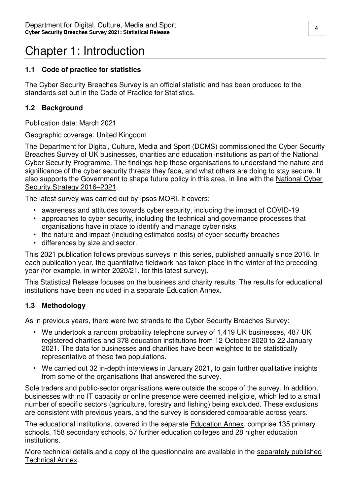# <span id="page-5-0"></span>Chapter 1: Introduction

#### <span id="page-5-1"></span>**1.1 Code of practice for statistics**

The Cyber Security Breaches Survey is an official statistic and has been produced to the standards set out in the Code of Practice for Statistics.

#### <span id="page-5-2"></span>**1.2 Background**

Publication date: March 2021

#### Geographic coverage: United Kingdom

The Department for Digital, Culture, Media and Sport (DCMS) commissioned the Cyber Security Breaches Survey of UK businesses, charities and education institutions as part of the National Cyber Security Programme. The findings help these organisations to understand the nature and significance of the cyber security threats they face, and what others are doing to stay secure. It also supports the Government to shape future policy in this area, in line with the [National Cyber](https://www.gov.uk/government/publications/national-cyber-security-strategy-2016-to-2021)  [Security Strategy 2016](https://www.gov.uk/government/publications/national-cyber-security-strategy-2016-to-2021)–2021.

The latest survey was carried out by Ipsos MORI. It covers:

- awareness and attitudes towards cyber security, including the impact of COVID-19
- approaches to cyber security, including the technical and governance processes that organisations have in place to identify and manage cyber risks
- the nature and impact (including estimated costs) of cyber security breaches
- differences by size and sector.

This 2021 publication follows [previous surveys in this series,](https://www.gov.uk/government/collections/cyber-security-breaches-survey) published annually since 2016. In each publication year, the quantitative fieldwork has taken place in the winter of the preceding year (for example, in winter 2020/21, for this latest survey).

This Statistical Release focuses on the business and charity results. The results for educational institutions have been included in a separate [Education Annex.](https://www.gov.uk/government/statistics/cyber-security-breaches-survey-2021)

#### <span id="page-5-3"></span>**1.3 Methodology**

As in previous years, there were two strands to the Cyber Security Breaches Survey:

- We undertook a random probability telephone survey of 1,419 UK businesses, 487 UK registered charities and 378 education institutions from 12 October 2020 to 22 January 2021. The data for businesses and charities have been weighted to be statistically representative of these two populations.
- We carried out 32 in-depth interviews in January 2021, to gain further qualitative insights from some of the organisations that answered the survey.

Sole traders and public-sector organisations were outside the scope of the survey. In addition, businesses with no IT capacity or online presence were deemed ineligible, which led to a small number of specific sectors (agriculture, forestry and fishing) being excluded. These exclusions are consistent with previous years, and the survey is considered comparable across years.

The educational institutions, covered in the separate **Education Annex, comprise 135 primary** schools, 158 secondary schools, 57 further education colleges and 28 higher education institutions.

More technical details and a copy of the questionnaire are available in the separately published [Technical Annex.](https://www.gov.uk/government/statistics/cyber-security-breaches-survey-2021)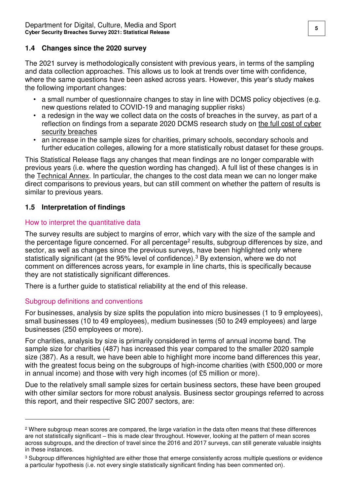#### <span id="page-6-0"></span>**1.4 Changes since the 2020 survey**

The 2021 survey is methodologically consistent with previous years, in terms of the sampling and data collection approaches. This allows us to look at trends over time with confidence, where the same questions have been asked across years. However, this year's study makes the following important changes:

- a small number of questionnaire changes to stay in line with DCMS policy objectives (e.g. new questions related to COVID-19 and managing supplier risks)
- a redesign in the way we collect data on the costs of breaches in the survey, as part of a reflection on findings from a separate 2020 DCMS research study on [the full cost of cyber](https://www.gov.uk/government/publications/cyber-security-incentives-regulation-review-government-response-to-the-call-for-evidence)  [security breaches](https://www.gov.uk/government/publications/cyber-security-incentives-regulation-review-government-response-to-the-call-for-evidence)
- an increase in the sample sizes for charities, primary schools, secondary schools and further education colleges, allowing for a more statistically robust dataset for these groups.

This Statistical Release flags any changes that mean findings are no longer comparable with previous years (i.e. where the question wording has changed). A full list of these changes is in the [Technical Annex.](https://www.gov.uk/government/statistics/cyber-security-breaches-survey-2021) In particular, the changes to the cost data mean we can no longer make direct comparisons to previous years, but can still comment on whether the pattern of results is similar to previous years.

#### <span id="page-6-1"></span>**1.5 Interpretation of findings**

#### How to interpret the quantitative data

The survey results are subject to margins of error, which vary with the size of the sample and the percentage figure concerned. For all percentage<sup>2</sup> results, subgroup differences by size, and sector, as well as changes since the previous surveys, have been highlighted only where statistically significant (at the 95% level of confidence).<sup>3</sup> By extension, where we do not comment on differences across years, for example in line charts, this is specifically because they are not statistically significant differences.

There is a further guide to statistical reliability at the end of this release.

#### Subgroup definitions and conventions

 $\overline{a}$ 

For businesses, analysis by size splits the population into micro businesses (1 to 9 employees), small businesses (10 to 49 employees), medium businesses (50 to 249 employees) and large businesses (250 employees or more).

For charities, analysis by size is primarily considered in terms of annual income band. The sample size for charities (487) has increased this year compared to the smaller 2020 sample size (387). As a result, we have been able to highlight more income band differences this year, with the greatest focus being on the subgroups of high-income charities (with £500,000 or more in annual income) and those with very high incomes (of £5 million or more).

Due to the relatively small sample sizes for certain business sectors, these have been grouped with other similar sectors for more robust analysis. Business sector groupings referred to across this report, and their respective SIC 2007 sectors, are:

<sup>&</sup>lt;sup>2</sup> Where subgroup mean scores are compared, the large variation in the data often means that these differences are not statistically significant – this is made clear throughout. However, looking at the pattern of mean scores across subgroups, and the direction of travel since the 2016 and 2017 surveys, can still generate valuable insights in these instances.

<sup>3</sup> Subgroup differences highlighted are either those that emerge consistently across multiple questions or evidence a particular hypothesis (i.e. not every single statistically significant finding has been commented on).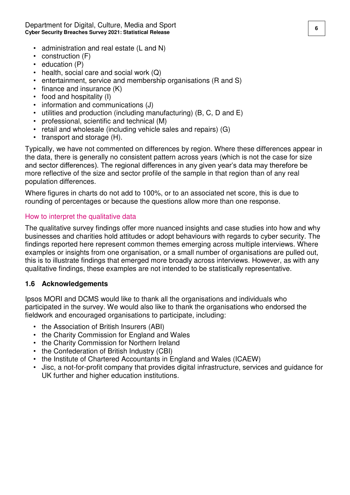Department for Digital, Culture, Media and Sport **<sup>6</sup> Cyber Security Breaches Survey 2021: Statistical Release** 

- administration and real estate (L and N)
- construction (F)
- education (P)
- health, social care and social work  $(Q)$
- entertainment, service and membership organisations (R and S)
- finance and insurance (K)
- food and hospitality (I)
- information and communications (J)
- utilities and production (including manufacturing) (B, C, D and E)
- professional, scientific and technical (M)
- retail and wholesale (including vehicle sales and repairs) (G)
- transport and storage (H).

Typically, we have not commented on differences by region. Where these differences appear in the data, there is generally no consistent pattern across years (which is not the case for size and sector differences). The regional differences in any given year's data may therefore be more reflective of the size and sector profile of the sample in that region than of any real population differences.

Where figures in charts do not add to 100%, or to an associated net score, this is due to rounding of percentages or because the questions allow more than one response.

#### How to interpret the qualitative data

The qualitative survey findings offer more nuanced insights and case studies into how and why businesses and charities hold attitudes or adopt behaviours with regards to cyber security. The findings reported here represent common themes emerging across multiple interviews. Where examples or insights from one organisation, or a small number of organisations are pulled out, this is to illustrate findings that emerged more broadly across interviews. However, as with any qualitative findings, these examples are not intended to be statistically representative.

#### <span id="page-7-0"></span>**1.6 Acknowledgements**

Ipsos MORI and DCMS would like to thank all the organisations and individuals who participated in the survey. We would also like to thank the organisations who endorsed the fieldwork and encouraged organisations to participate, including:

- the Association of British Insurers (ABI)
- the Charity Commission for England and Wales
- the Charity Commission for Northern Ireland
- the Confederation of British Industry (CBI)
- the Institute of Chartered Accountants in England and Wales (ICAEW)
- Jisc, a not-for-profit company that provides digital infrastructure, services and guidance for UK further and higher education institutions.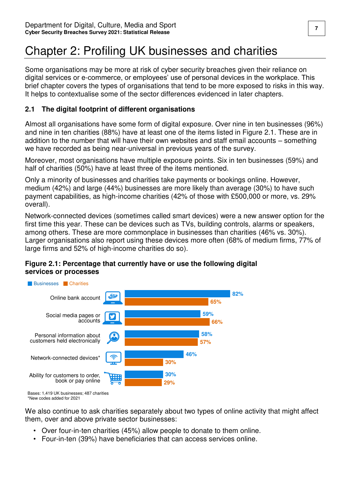# <span id="page-8-0"></span>Chapter 2: Profiling UK businesses and charities

Some organisations may be more at risk of cyber security breaches given their reliance on digital services or e-commerce, or employees' use of personal devices in the workplace. This brief chapter covers the types of organisations that tend to be more exposed to risks in this way. It helps to contextualise some of the sector differences evidenced in later chapters.

### <span id="page-8-1"></span>**2.1 The digital footprint of different organisations**

Almost all organisations have some form of digital exposure. Over nine in ten businesses (96%) and nine in ten charities (88%) have at least one of the items listed in Figure 2.1. These are in addition to the number that will have their own websites and staff email accounts – something we have recorded as being near-universal in previous years of the survey.

Moreover, most organisations have multiple exposure points. Six in ten businesses (59%) and half of charities (50%) have at least three of the items mentioned.

Only a minority of businesses and charities take payments or bookings online. However, medium (42%) and large (44%) businesses are more likely than average (30%) to have such payment capabilities, as high-income charities (42% of those with £500,000 or more, vs. 29% overall).

Network-connected devices (sometimes called smart devices) were a new answer option for the first time this year. These can be devices such as TVs, building controls, alarms or speakers, among others. These are more commonplace in businesses than charities (46% vs. 30%). Larger organisations also report using these devices more often (68% of medium firms, 77% of large firms and 52% of high-income charities do so).



#### **Figure 2.1: Percentage that currently have or use the following digital services or processes**

Bases: 1,419 UK businesses; 487 charities \*New codes added for 2021

We also continue to ask charities separately about two types of online activity that might affect them, over and above private sector businesses:

- Over four-in-ten charities (45%) allow people to donate to them online.
- Four-in-ten (39%) have beneficiaries that can access services online.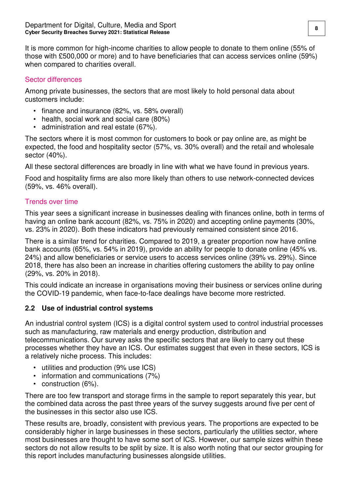It is more common for high-income charities to allow people to donate to them online (55% of those with £500,000 or more) and to have beneficiaries that can access services online (59%) when compared to charities overall.

#### Sector differences

Among private businesses, the sectors that are most likely to hold personal data about customers include:

- finance and insurance (82%, vs. 58% overall)
- health, social work and social care (80%)
- administration and real estate (67%).

The sectors where it is most common for customers to book or pay online are, as might be expected, the food and hospitality sector (57%, vs. 30% overall) and the retail and wholesale sector (40%).

All these sectoral differences are broadly in line with what we have found in previous years.

Food and hospitality firms are also more likely than others to use network-connected devices (59%, vs. 46% overall).

#### Trends over time

This year sees a significant increase in businesses dealing with finances online, both in terms of having an online bank account (82%, vs. 75% in 2020) and accepting online payments (30%, vs. 23% in 2020). Both these indicators had previously remained consistent since 2016.

There is a similar trend for charities. Compared to 2019, a greater proportion now have online bank accounts (65%, vs. 54% in 2019), provide an ability for people to donate online (45% vs. 24%) and allow beneficiaries or service users to access services online (39% vs. 29%). Since 2018, there has also been an increase in charities offering customers the ability to pay online (29%, vs. 20% in 2018).

This could indicate an increase in organisations moving their business or services online during the COVID-19 pandemic, when face-to-face dealings have become more restricted.

#### <span id="page-9-0"></span>**2.2 Use of industrial control systems**

An industrial control system (ICS) is a digital control system used to control industrial processes such as manufacturing, raw materials and energy production, distribution and telecommunications. Our survey asks the specific sectors that are likely to carry out these processes whether they have an ICS. Our estimates suggest that even in these sectors, ICS is a relatively niche process. This includes:

- utilities and production (9% use ICS)
- information and communications (7%)
- construction (6%).

There are too few transport and storage firms in the sample to report separately this year, but the combined data across the past three years of the survey suggests around five per cent of the businesses in this sector also use ICS.

These results are, broadly, consistent with previous years. The proportions are expected to be considerably higher in large businesses in these sectors, particularly the utilities sector, where most businesses are thought to have some sort of ICS. However, our sample sizes within these sectors do not allow results to be split by size. It is also worth noting that our sector grouping for this report includes manufacturing businesses alongside utilities.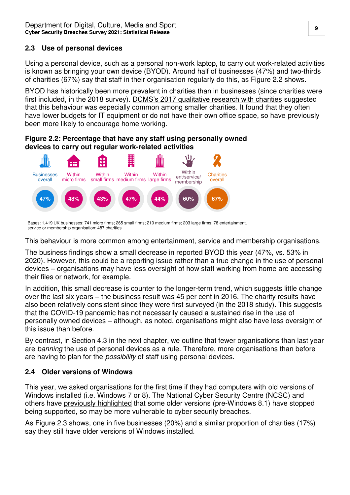#### <span id="page-10-0"></span>**2.3 Use of personal devices**

Using a personal device, such as a personal non-work laptop, to carry out work-related activities is known as bringing your own device (BYOD). Around half of businesses (47%) and two-thirds of charities (67%) say that staff in their organisation regularly do this, as Figure 2.2 shows.

BYOD has historically been more prevalent in charities than in businesses (since charities were first included, in the 2018 survey). [DCMS's 2017 qualitative research with charities](https://www.gov.uk/government/publications/cyber-security-in-charities) suggested that this behaviour was especially common among smaller charities. It found that they often have lower budgets for IT equipment or do not have their own office space, so have previously been more likely to encourage home working.

**Figure 2.2: Percentage that have any staff using personally owned devices to carry out regular work-related activities** 



Bases: 1,419 UK businesses; 741 micro firms; 265 small firms; 210 medium firms; 203 large firms; 78 entertainment, service or membership organisation; 487 charities

This behaviour is more common among entertainment, service and membership organisations.

The business findings show a small decrease in reported BYOD this year (47%, vs. 53% in 2020). However, this could be a reporting issue rather than a true change in the use of personal devices – organisations may have less oversight of how staff working from home are accessing their files or network, for example.

In addition, this small decrease is counter to the longer-term trend, which suggests little change over the last six years – the business result was 45 per cent in 2016. The charity results have also been relatively consistent since they were first surveyed (in the 2018 study). This suggests that the COVID-19 pandemic has not necessarily caused a sustained rise in the use of personally owned devices – although, as noted, organisations might also have less oversight of this issue than before.

By contrast, in Section 4.3 in the next chapter, we outline that fewer organisations than last year are banning the use of personal devices as a rule. Therefore, more organisations than before are having to plan for the *possibility* of staff using personal devices.

### <span id="page-10-1"></span>**2.4 Older versions of Windows**

This year, we asked organisations for the first time if they had computers with old versions of Windows installed (i.e. Windows 7 or 8). The National Cyber Security Centre (NCSC) and others have [previously highlighted](https://www.ncsc.gov.uk/blog-post/one-year-left-for-windows-7-support) that some older versions (pre-Windows 8.1) have stopped being supported, so may be more vulnerable to cyber security breaches.

As Figure 2.3 shows, one in five businesses (20%) and a similar proportion of charities (17%) say they still have older versions of Windows installed.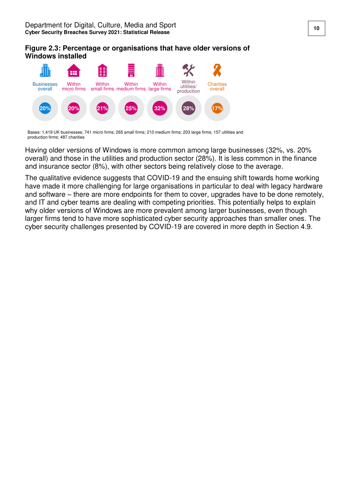#### **Figure 2.3: Percentage or organisations that have older versions of Windows installed**



Bases: 1,419 UK businesses; 741 micro firms; 265 small firms; 210 medium firms; 203 large firms; 157 utilities and production firms; 487 charities

Having older versions of Windows is more common among large businesses (32%, vs. 20% overall) and those in the utilities and production sector (28%). It is less common in the finance and insurance sector (8%), with other sectors being relatively close to the average.

The qualitative evidence suggests that COVID-19 and the ensuing shift towards home working have made it more challenging for large organisations in particular to deal with legacy hardware and software – there are more endpoints for them to cover, upgrades have to be done remotely, and IT and cyber teams are dealing with competing priorities. This potentially helps to explain why older versions of Windows are more prevalent among larger businesses, even though larger firms tend to have more sophisticated cyber security approaches than smaller ones. The cyber security challenges presented by COVID-19 are covered in more depth in Section 4.9.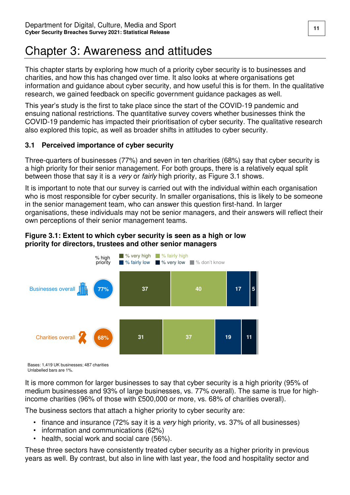# <span id="page-12-0"></span>Chapter 3: Awareness and attitudes

This chapter starts by exploring how much of a priority cyber security is to businesses and charities, and how this has changed over time. It also looks at where organisations get information and guidance about cyber security, and how useful this is for them. In the qualitative research, we gained feedback on specific government guidance packages as well.

This year's study is the first to take place since the start of the COVID-19 pandemic and ensuing national restrictions. The quantitative survey covers whether businesses think the COVID-19 pandemic has impacted their prioritisation of cyber security. The qualitative research also explored this topic, as well as broader shifts in attitudes to cyber security.

#### <span id="page-12-1"></span>**3.1 Perceived importance of cyber security**

Three-quarters of businesses (77%) and seven in ten charities (68%) say that cyber security is a high priority for their senior management. For both groups, there is a relatively equal split between those that say it is a very or fairly high priority, as Figure 3.1 shows.

It is important to note that our survey is carried out with the individual within each organisation who is most responsible for cyber security. In smaller organisations, this is likely to be someone in the senior management team, who can answer this question first-hand. In larger organisations, these individuals may not be senior managers, and their answers will reflect their own perceptions of their senior management teams.

#### **Figure 3.1: Extent to which cyber security is seen as a high or low priority for directors, trustees and other senior managers**



Bases: 1,419 UK businesses; 487 charities Unlabelled bars are 1%.

It is more common for larger businesses to say that cyber security is a high priority (95% of medium businesses and 93% of large businesses, vs. 77% overall). The same is true for highincome charities (96% of those with £500,000 or more, vs. 68% of charities overall).

The business sectors that attach a higher priority to cyber security are:

- finance and insurance (72% say it is a very high priority, vs. 37% of all businesses)
- information and communications (62%)
- health, social work and social care (56%).

These three sectors have consistently treated cyber security as a higher priority in previous years as well. By contrast, but also in line with last year, the food and hospitality sector and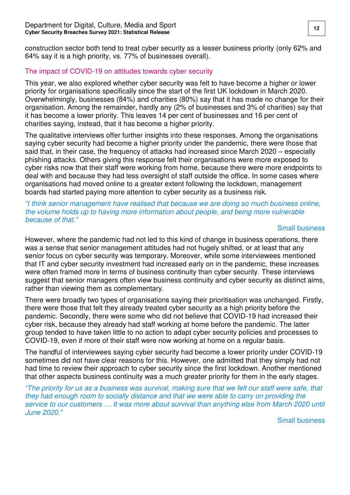construction sector both tend to treat cyber security as a lesser business priority (only 62% and 64% say it is a high priority, vs. 77% of businesses overall).

#### The impact of COVID-19 on attitudes towards cyber security

This year, we also explored whether cyber security was felt to have become a higher or lower priority for organisations specifically since the start of the first UK lockdown in March 2020. Overwhelmingly, businesses (84%) and charities (80%) say that it has made no change for their organisation. Among the remainder, hardly any (2% of businesses and 3% of charities) say that it has become a lower priority. This leaves 14 per cent of businesses and 16 per cent of charities saying, instead, that it has become a higher priority.

The qualitative interviews offer further insights into these responses. Among the organisations saying cyber security had become a higher priority under the pandemic, there were those that said that, in their case, the frequency of attacks had increased since March 2020 – especially phishing attacks. Others giving this response felt their organisations were more exposed to cyber risks now that their staff were working from home, because there were more endpoints to deal with and because they had less oversight of staff outside the office. In some cases where organisations had moved online to a greater extent following the lockdown, management boards had started paying more attention to cyber security as a business risk.

#### *"I* think senior management have realised that because we are doing so much business online, the volume holds up to having more information about people, and being more vulnerable because of that.*"*

#### Small business

However, where the pandemic had not led to this kind of change in business operations, there was a sense that senior management attitudes had not hugely shifted, or at least that any senior focus on cyber security was temporary. Moreover, while some interviewees mentioned that IT and cyber security investment had increased early on in the pandemic, these increases were often framed more in terms of business continuity than cyber security. These interviews suggest that senior managers often view business continuity and cyber security as distinct aims, rather than viewing them as complementary.

There were broadly two types of organisations saying their prioritisation was unchanged. Firstly, there were those that felt they already treated cyber security as a high priority before the pandemic. Secondly, there were some who did not believe that COVID-19 had increased their cyber risk, because they already had staff working at home before the pandemic. The latter group tended to have taken little to no action to adapt cyber security policies and processes to COVID-19, even if more of their staff were now working at home on a regular basis.

The handful of interviewees saying cyber security had become a lower priority under COVID-19 sometimes did not have clear reasons for this. However, one admitted that they simply had not had time to review their approach to cyber security since the first lockdown. Another mentioned that other aspects business continuity was a much greater priority for them in the early stages.

*"T*he priority for us as a business was survival, making sure that we felt our staff were safe, that they had enough room to socially distance and that we were able to carry on providing the service to our customers *…* It was more about survival than anything else from March 2020 until June 2020.*"*

Small business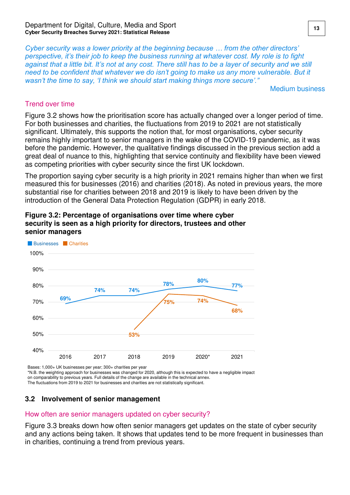*Cyber security was a lower priority at the beginning because … from the other directors' perspective, it's their job to keep the business run*ning at whatever cost. My role is to fight against that a little bit. It's not at any cost. There still has to be a layer of security and we still *need to be confident that whatever we do isn't going to make us any more vulnerable. But it wasn't the time to say, 'I think we should start making things more secure'."*

Medium business

#### Trend over time

Figure 3.2 shows how the prioritisation score has actually changed over a longer period of time. For both businesses and charities, the fluctuations from 2019 to 2021 are not statistically significant. Ultimately, this supports the notion that, for most organisations, cyber security remains highly important to senior managers in the wake of the COVID-19 pandemic, as it was before the pandemic. However, the qualitative findings discussed in the previous section add a great deal of nuance to this, highlighting that service continuity and flexibility have been viewed as competing priorities with cyber security since the first UK lockdown.

The proportion saying cyber security is a high priority in 2021 remains higher than when we first measured this for businesses (2016) and charities (2018). As noted in previous years, the more substantial rise for charities between 2018 and 2019 is likely to have been driven by the introduction of the General Data Protection Regulation (GDPR) in early 2018.



**Figure 3.2: Percentage of organisations over time where cyber security is seen as a high priority for directors, trustees and other senior managers** 

Bases: 1,000+ UK businesses per year; 300+ charities per year \*N.B. the weighting approach for businesses was changed for 2020, although this is expected to have a negligible impact on comparability to previous years. Full details of the change are available in the technical annex.

The fluctuations from 2019 to 2021 for businesses and charities are not statistically significant.

### <span id="page-14-0"></span>**3.2 Involvement of senior management**

#### How often are senior managers updated on cyber security?

Figure 3.3 breaks down how often senior managers get updates on the state of cyber security and any actions being taken. It shows that updates tend to be more frequent in businesses than in charities, continuing a trend from previous years.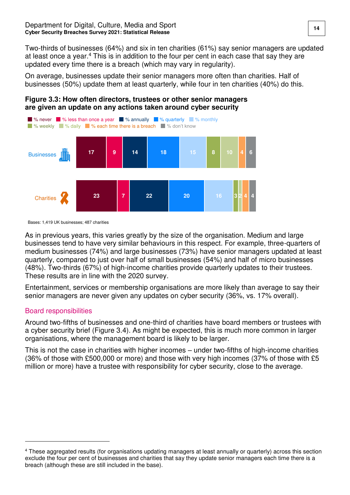Two-thirds of businesses (64%) and six in ten charities (61%) say senior managers are updated at least once a year.<sup>4</sup> This is in addition to the four per cent in each case that say they are updated every time there is a breach (which may vary in regularity).

On average, businesses update their senior managers more often than charities. Half of businesses (50%) update them at least quarterly, while four in ten charities (40%) do this.

#### **Figure 3.3: How often directors, trustees or other senior managers are given an update on any actions taken around cyber security**



Bases: 1,419 UK businesses; 487 charities

As in previous years, this varies greatly by the size of the organisation. Medium and large businesses tend to have very similar behaviours in this respect. For example, three-quarters of medium businesses (74%) and large businesses (73%) have senior managers updated at least quarterly, compared to just over half of small businesses (54%) and half of micro businesses (48%). Two-thirds (67%) of high-income charities provide quarterly updates to their trustees. These results are in line with the 2020 survey.

Entertainment, services or membership organisations are more likely than average to say their senior managers are never given any updates on cyber security (36%, vs. 17% overall).

#### Board responsibilities

 $\overline{a}$ 

Around two-fifths of businesses and one-third of charities have board members or trustees with a cyber security brief (Figure 3.4). As might be expected, this is much more common in larger organisations, where the management board is likely to be larger.

This is not the case in charities with higher incomes – under two-fifths of high-income charities (36% of those with £500,000 or more) and those with very high incomes (37% of those with £5 million or more) have a trustee with responsibility for cyber security, close to the average.

<sup>4</sup> These aggregated results (for organisations updating managers at least annually or quarterly) across this section exclude the four per cent of businesses and charities that say they update senior managers each time there is a breach (although these are still included in the base).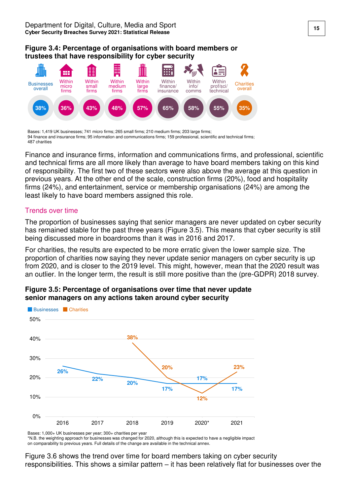#### **Figure 3.4: Percentage of organisations with board members or trustees that have responsibility for cyber security**



Bases: 1,419 UK businesses; 741 micro firms; 265 small firms; 210 medium firms; 203 large firms; 94 finance and insurance firms; 95 information and communications firms; 159 professional, scientific and technical firms; 487 charities

Finance and insurance firms, information and communications firms, and professional, scientific and technical firms are all more likely than average to have board members taking on this kind of responsibility. The first two of these sectors were also above the average at this question in previous years. At the other end of the scale, construction firms (20%), food and hospitality firms (24%), and entertainment, service or membership organisations (24%) are among the least likely to have board members assigned this role.

#### Trends over time

The proportion of businesses saying that senior managers are never updated on cyber security has remained stable for the past three years (Figure 3.5). This means that cyber security is still being discussed more in boardrooms than it was in 2016 and 2017.

For charities, the results are expected to be more erratic given the lower sample size. The proportion of charities now saying they never update senior managers on cyber security is up from 2020, and is closer to the 2019 level. This might, however, mean that the 2020 result was an outlier. In the longer term, the result is still more positive than the (pre-GDPR) 2018 survey.



#### **Figure 3.5: Percentage of organisations over time that never update senior managers on any actions taken around cyber security**

Bases: 1,000+ UK businesses per year; 300+ charities per year

\*N.B. the weighting approach for businesses was changed for 2020, although this is expected to have a negligible impact on comparability to previous years. Full details of the change are available in the technical annex.

Figure 3.6 shows the trend over time for board members taking on cyber security responsibilities. This shows a similar pattern – it has been relatively flat for businesses over the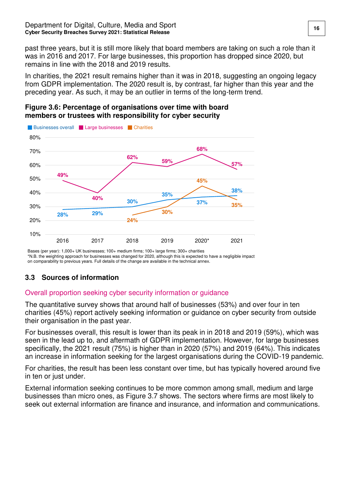past three years, but it is still more likely that board members are taking on such a role than it was in 2016 and 2017. For large businesses, this proportion has dropped since 2020, but remains in line with the 2018 and 2019 results.

In charities, the 2021 result remains higher than it was in 2018, suggesting an ongoing legacy from GDPR implementation. The 2020 result is, by contrast, far higher than this year and the preceding year. As such, it may be an outlier in terms of the long-term trend.

#### **Figure 3.6: Percentage of organisations over time with board members or trustees with responsibility for cyber security**



Bases (per year): 1,000+ UK businesses; 100+ medium firms; 100+ large firms; 300+ charities \*N.B. the weighting approach for businesses was changed for 2020, although this is expected to have a negligible impact on comparability to previous years. Full details of the change are available in the technical annex.

## <span id="page-17-0"></span>**3.3 Sources of information**

### Overall proportion seeking cyber security information or guidance

The quantitative survey shows that around half of businesses (53%) and over four in ten charities (45%) report actively seeking information or guidance on cyber security from outside their organisation in the past year.

For businesses overall, this result is lower than its peak in in 2018 and 2019 (59%), which was seen in the lead up to, and aftermath of GDPR implementation. However, for large businesses specifically, the 2021 result (75%) is higher than in 2020 (57%) and 2019 (64%). This indicates an increase in information seeking for the largest organisations during the COVID-19 pandemic.

For charities, the result has been less constant over time, but has typically hovered around five in ten or just under.

External information seeking continues to be more common among small, medium and large businesses than micro ones, as Figure 3.7 shows. The sectors where firms are most likely to seek out external information are finance and insurance, and information and communications.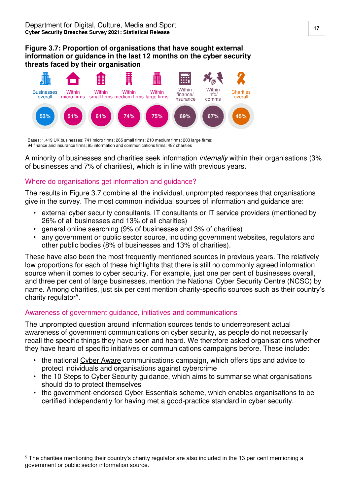#### **Figure 3.7: Proportion of organisations that have sought external information or guidance in the last 12 months on the cyber security threats faced by their organisation**



Bases: 1,419 UK businesses; 741 micro firms; 265 small firms; 210 medium firms; 203 large firms; 94 finance and insurance firms; 95 information and communications firms; 487 charities

A minority of businesses and charities seek information internally within their organisations (3% of businesses and 7% of charities), which is in line with previous years.

### Where do organisations get information and guidance?

The results in Figure 3.7 combine all the individual, unprompted responses that organisations give in the survey. The most common individual sources of information and guidance are:

- external cyber security consultants, IT consultants or IT service providers (mentioned by 26% of all businesses and 13% of all charities)
- general online searching (9% of businesses and 3% of charities)
- any government or public sector source, including government websites, regulators and other public bodies (8% of businesses and 13% of charities).

These have also been the most frequently mentioned sources in previous years. The relatively low proportions for each of these highlights that there is still no commonly agreed information source when it comes to cyber security. For example, just one per cent of businesses overall, and three per cent of large businesses, mention the National Cyber Security Centre (NCSC) by name. Among charities, just six per cent mention charity-specific sources such as their country's charity regulator<sup>5</sup>.

#### Awareness of government guidance, initiatives and communications

 $\overline{a}$ 

The unprompted question around information sources tends to underrepresent actual awareness of government communications on cyber security, as people do not necessarily recall the specific things they have seen and heard. We therefore asked organisations whether they have heard of specific initiatives or communications campaigns before. These include:

- the national [Cyber Aware](http://www.cyberaware.gov.uk/) communications campaign, which offers tips and advice to protect individuals and organisations against cybercrime
- the [10 Steps to Cyber Security](https://www.ncsc.gov.uk/collection/10-steps-to-cyber-security) guidance, which aims to summarise what organisations should do to protect themselves
- the government-endorsed [Cyber Essentials](https://www.cyberessentials.ncsc.gov.uk/) scheme, which enables organisations to be certified independently for having met a good-practice standard in cyber security.

<sup>5</sup> The charities mentioning their country's charity regulator are also included in the 13 per cent mentioning a government or public sector information source.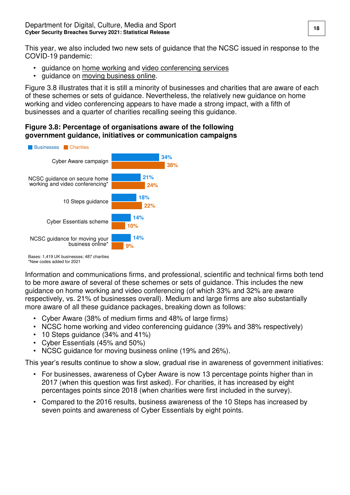This year, we also included two new sets of guidance that the NCSC issued in response to the COVID-19 pandemic:

- guidance on [home working](https://www.ncsc.gov.uk/guidance/home-working) and [video conferencing services](https://www.ncsc.gov.uk/guidance/video-conferencing-services-security-guidance-organisations)
- guidance on [moving business online.](https://www.ncsc.gov.uk/guidance/moving-business-from-physical-to-digital)

Figure 3.8 illustrates that it is still a minority of businesses and charities that are aware of each of these schemes or sets of guidance. Nevertheless, the relatively new guidance on home working and video conferencing appears to have made a strong impact, with a fifth of businesses and a quarter of charities recalling seeing this guidance.

#### **Figure 3.8: Percentage of organisations aware of the following government guidance, initiatives or communication campaigns**



Information and communications firms, and professional, scientific and technical firms both tend to be more aware of several of these schemes or sets of guidance. This includes the new guidance on home working and video conferencing (of which 33% and 32% are aware respectively, vs. 21% of businesses overall). Medium and large firms are also substantially more aware of all these guidance packages, breaking down as follows:

- Cyber Aware (38% of medium firms and 48% of large firms)
- NCSC home working and video conferencing guidance (39% and 38% respectively)
- 10 Steps guidance (34% and 41%)
- Cyber Essentials (45% and 50%)
- NCSC guidance for moving business online (19% and 26%).

This year's results continue to show a slow, gradual rise in awareness of government initiatives:

- For businesses, awareness of Cyber Aware is now 13 percentage points higher than in 2017 (when this question was first asked). For charities, it has increased by eight percentages points since 2018 (when charities were first included in the survey).
- Compared to the 2016 results, business awareness of the 10 Steps has increased by seven points and awareness of Cyber Essentials by eight points.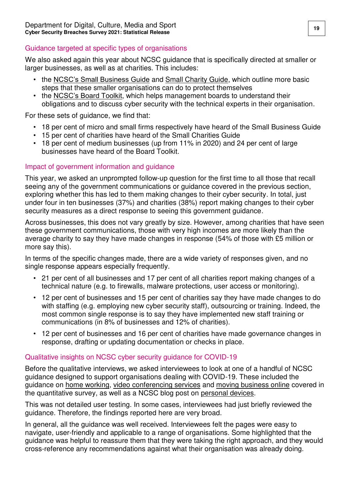### Guidance targeted at specific types of organisations

We also asked again this year about NCSC guidance that is specifically directed at smaller or larger businesses, as well as at charities. This includes:

- the [NCSC's Small Business Guide](https://www.ncsc.gov.uk/collection/small-business-guide) and [Small Charity Guide,](https://www.ncsc.gov.uk/collection/charity) which outline more basic steps that these smaller organisations can do to protect themselves
- the [NCSC's Board Toolkit](https://www.ncsc.gov.uk/collection/board-toolkit), which helps management boards to understand their obligations and to discuss cyber security with the technical experts in their organisation.

For these sets of guidance, we find that:

- 18 per cent of micro and small firms respectively have heard of the Small Business Guide
- 15 per cent of charities have heard of the Small Charities Guide
- 18 per cent of medium businesses (up from 11% in 2020) and 24 per cent of large businesses have heard of the Board Toolkit.

#### Impact of government information and guidance

This year, we asked an unprompted follow-up question for the first time to all those that recall seeing any of the government communications or guidance covered in the previous section, exploring whether this has led to them making changes to their cyber security. In total, just under four in ten businesses (37%) and charities (38%) report making changes to their cyber security measures as a direct response to seeing this government guidance.

Across businesses, this does not vary greatly by size. However, among charities that have seen these government communications, those with very high incomes are more likely than the average charity to say they have made changes in response (54% of those with £5 million or more say this).

In terms of the specific changes made, there are a wide variety of responses given, and no single response appears especially frequently.

- 21 per cent of all businesses and 17 per cent of all charities report making changes of a technical nature (e.g. to firewalls, malware protections, user access or monitoring).
- 12 per cent of businesses and 15 per cent of charities say they have made changes to do with staffing (e.g. employing new cyber security staff), outsourcing or training. Indeed, the most common single response is to say they have implemented new staff training or communications (in 8% of businesses and 12% of charities).
- 12 per cent of businesses and 16 per cent of charities have made governance changes in response, drafting or updating documentation or checks in place.

#### Qualitative insights on NCSC cyber security guidance for COVID-19

Before the qualitative interviews, we asked interviewees to look at one of a handful of NCSC guidance designed to support organisations dealing with COVID-19. These included the guidance on [home working,](https://www.ncsc.gov.uk/guidance/home-working) [video conferencing services](https://www.ncsc.gov.uk/guidance/video-conferencing-services-security-guidance-organisations) and [moving business online](https://www.ncsc.gov.uk/guidance/moving-business-from-physical-to-digital) covered in the quantitative survey, as well as a NCSC blog post on [personal devices.](https://www.ncsc.gov.uk/blog-post/bring-your-own-device-the-new-normal)

This was not detailed user testing. In some cases, interviewees had just briefly reviewed the guidance. Therefore, the findings reported here are very broad.

In general, all the guidance was well received. Interviewees felt the pages were easy to navigate, user-friendly and applicable to a range of organisations. Some highlighted that the guidance was helpful to reassure them that they were taking the right approach, and they would cross-reference any recommendations against what their organisation was already doing.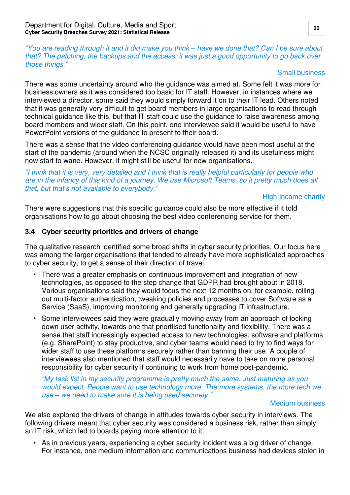*"*You are reading through it and it did make you think *–* have we done that? Can I be sure about that? The patching, the backups and the access, it was just a good opportunity to go back over those things.*"*

#### Small business

There was some uncertainty around who the guidance was aimed at. Some felt it was more for business owners as it was considered too basic for IT staff. However, in instances where we interviewed a director, some said they would simply forward it on to their IT lead. Others noted that it was generally very difficult to get board members in large organisations to read through technical guidance like this, but that IT staff could use the guidance to raise awareness among board members and wider staff. On this point, one interviewee said it would be useful to have PowerPoint versions of the guidance to present to their board.

There was a sense that the video conferencing guidance would have been most useful at the start of the pandemic (around when the NCSC originally released it) and its usefulness might now start to wane. However, it might still be useful for new organisations.

*"*I think that it is very, very detailed and I think that is really helpful particularly for people who are in the infancy of this kind of a journey. We use Microsoft Teams, so it pretty much does all *that, but that's not available to everybody."*

High-income charity

There were suggestions that this specific guidance could also be more effective if it told organisations how to go about choosing the best video conferencing service for them.

#### <span id="page-21-0"></span>**3.4 Cyber security priorities and drivers of change**

The qualitative research identified some broad shifts in cyber security priorities. Our focus here was among the larger organisations that tended to already have more sophisticated approaches to cyber security, to get a sense of their direction of travel.

- There was a greater emphasis on continuous improvement and integration of new technologies, as opposed to the step change that GDPR had brought about in 2018. Various organisations said they would focus the next 12 months on, for example, rolling out multi-factor authentication, tweaking policies and processes to cover Software as a Service (SaaS), improving monitoring and generally upgrading IT infrastructure.
- Some interviewees said they were gradually moving away from an approach of locking down user activity, towards one that prioritised functionality and flexibility. There was a sense that staff increasingly expected access to new technologies, software and platforms (e.g. SharePoint) to stay productive, and cyber teams would need to try to find ways for wider staff to use these platforms securely rather than banning their use. A couple of interviewees also mentioned that staff would necessarily have to take on more personal responsibility for cyber security if continuing to work from home post-pandemic.

*"My task list in my security programme is pretty much the same. Just maturing as you*  would expect. People want to use technology more. The more systems, the more tech we use *–* we need to make sure it is being used sec*urely."*

#### Medium business

We also explored the drivers of change in attitudes towards cyber security in interviews. The following drivers meant that cyber security was considered a business risk, rather than simply an IT risk, which led to boards paying more attention to it:

• As in previous years, experiencing a cyber security incident was a big driver of change. For instance, one medium information and communications business had devices stolen in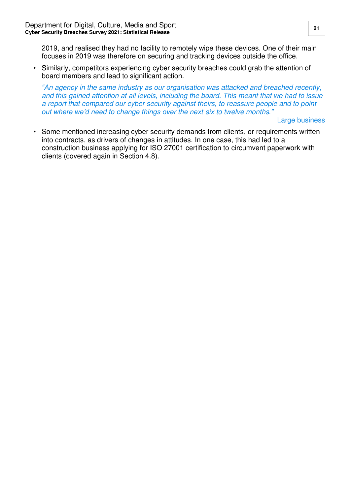2019, and realised they had no facility to remotely wipe these devices. One of their main focuses in 2019 was therefore on securing and tracking devices outside the office.

• Similarly, competitors experiencing cyber security breaches could grab the attention of board members and lead to significant action.

*"*An agency in the same industry as our organisation was attacked and breached recently, and this gained attention at all levels, including the board. This meant that we had to issue a report that compared our cyber security against theirs, to reassure people and to point *out where we'd need to change things over the next* six to twelve months*."*

Large business

• Some mentioned increasing cyber security demands from clients, or requirements written into contracts, as drivers of changes in attitudes. In one case, this had led to a construction business applying for ISO 27001 certification to circumvent paperwork with clients (covered again in Section 4.8).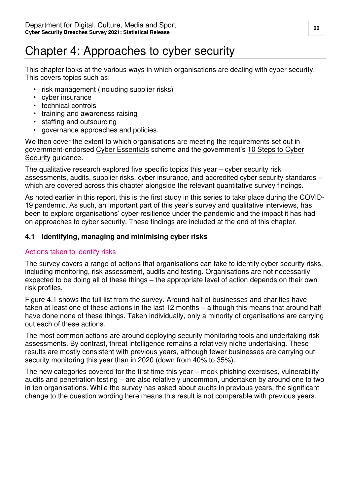# <span id="page-23-0"></span>Chapter 4: Approaches to cyber security

This chapter looks at the various ways in which organisations are dealing with cyber security. This covers topics such as:

- risk management (including supplier risks)
- cyber insurance
- technical controls
- training and awareness raising
- staffing and outsourcing
- governance approaches and policies.

We then cover the extent to which organisations are meeting the requirements set out in government-endorsed [Cyber Essentials](https://www.ncsc.gov.uk/cyberessentials/overview) scheme and the government's [10 Steps to Cyber](https://www.ncsc.gov.uk/collection/10-steps-to-cyber-security)  [Security](https://www.ncsc.gov.uk/collection/10-steps-to-cyber-security) guidance.

The qualitative research explored five specific topics this year – cyber security risk assessments, audits, supplier risks, cyber insurance, and accredited cyber security standards – which are covered across this chapter alongside the relevant quantitative survey findings.

As noted earlier in this report, this is the first study in this series to take place during the COVID-19 pandemic. As such, an important part of this year's survey and qualitative interviews, has been to explore organisations' cyber resilience under the pandemic and the impact it has had on approaches to cyber security. These findings are included at the end of this chapter.

### <span id="page-23-1"></span>**4.1 Identifying, managing and minimising cyber risks**

### Actions taken to identify risks

The survey covers a range of actions that organisations can take to identify cyber security risks, including monitoring, risk assessment, audits and testing. Organisations are not necessarily expected to be doing all of these things – the appropriate level of action depends on their own risk profiles.

Figure 4.1 shows the full list from the survey. Around half of businesses and charities have taken at least one of these actions in the last 12 months – although this means that around half have done none of these things. Taken individually, only a minority of organisations are carrying out each of these actions.

The most common actions are around deploying security monitoring tools and undertaking risk assessments. By contrast, threat intelligence remains a relatively niche undertaking. These results are mostly consistent with previous years, although fewer businesses are carrying out security monitoring this year than in 2020 (down from 40% to 35%).

The new categories covered for the first time this year – mock phishing exercises, vulnerability audits and penetration testing – are also relatively uncommon, undertaken by around one to two in ten organisations. While the survey has asked about audits in previous years, the significant change to the question wording here means this result is not comparable with previous years.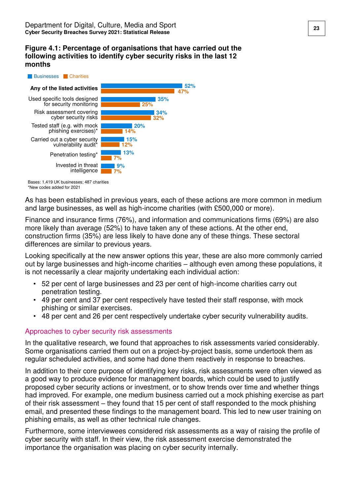#### **Figure 4.1: Percentage of organisations that have carried out the following activities to identify cyber security risks in the last 12 months**



Bases: 1,419 UK businesses; 487 charities \*New codes added for 2021

As has been established in previous years, each of these actions are more common in medium and large businesses, as well as high-income charities (with £500,000 or more).

Finance and insurance firms (76%), and information and communications firms (69%) are also more likely than average (52%) to have taken any of these actions. At the other end, construction firms (35%) are less likely to have done any of these things. These sectoral differences are similar to previous years.

Looking specifically at the new answer options this year, these are also more commonly carried out by large businesses and high-income charities – although even among these populations, it is not necessarily a clear majority undertaking each individual action:

- 52 per cent of large businesses and 23 per cent of high-income charities carry out penetration testing.
- 49 per cent and 37 per cent respectively have tested their staff response, with mock phishing or similar exercises.
- 48 per cent and 26 per cent respectively undertake cyber security vulnerability audits.

#### Approaches to cyber security risk assessments

In the qualitative research, we found that approaches to risk assessments varied considerably. Some organisations carried them out on a project-by-project basis, some undertook them as regular scheduled activities, and some had done them reactively in response to breaches.

In addition to their core purpose of identifying key risks, risk assessments were often viewed as a good way to produce evidence for management boards, which could be used to justify proposed cyber security actions or investment, or to show trends over time and whether things had improved. For example, one medium business carried out a mock phishing exercise as part of their risk assessment – they found that 15 per cent of staff responded to the mock phishing email, and presented these findings to the management board. This led to new user training on phishing emails, as well as other technical rule changes.

Furthermore, some interviewees considered risk assessments as a way of raising the profile of cyber security with staff. In their view, the risk assessment exercise demonstrated the importance the organisation was placing on cyber security internally.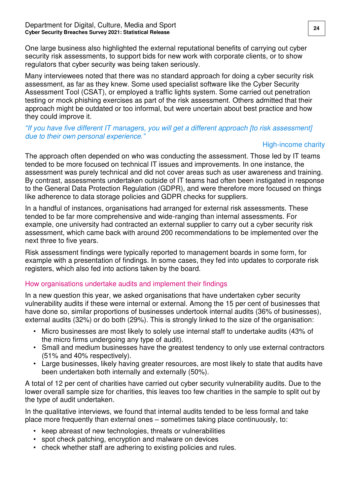One large business also highlighted the external reputational benefits of carrying out cyber security risk assessments, to support bids for new work with corporate clients, or to show regulators that cyber security was being taken seriously.

Many interviewees noted that there was no standard approach for doing a cyber security risk assessment, as far as they knew. Some used specialist software like the Cyber Security Assessment Tool (CSAT), or employed a traffic lights system. Some carried out penetration testing or mock phishing exercises as part of the risk assessment. Others admitted that their approach might be outdated or too informal, but were uncertain about best practice and how they could improve it.

#### *"*If you have five different IT managers, you will get a different approach [to risk assessment] due to their own personal experience*."*

#### High-income charity

The approach often depended on who was conducting the assessment. Those led by IT teams tended to be more focused on technical IT issues and improvements. In one instance, the assessment was purely technical and did not cover areas such as user awareness and training. By contrast, assessments undertaken outside of IT teams had often been instigated in response to the General Data Protection Regulation (GDPR), and were therefore more focused on things like adherence to data storage policies and GDPR checks for suppliers.

In a handful of instances, organisations had arranged for external risk assessments. These tended to be far more comprehensive and wide-ranging than internal assessments. For example, one university had contracted an external supplier to carry out a cyber security risk assessment, which came back with around 200 recommendations to be implemented over the next three to five years.

Risk assessment findings were typically reported to management boards in some form, for example with a presentation of findings. In some cases, they fed into updates to corporate risk registers, which also fed into actions taken by the board.

#### How organisations undertake audits and implement their findings

In a new question this year, we asked organisations that have undertaken cyber security vulnerability audits if these were internal or external. Among the 15 per cent of businesses that have done so, similar proportions of businesses undertook internal audits (36% of businesses), external audits (32%) or do both (29%). This is strongly linked to the size of the organisation:

- Micro businesses are most likely to solely use internal staff to undertake audits (43% of the micro firms undergoing any type of audit).
- Small and medium businesses have the greatest tendency to only use external contractors (51% and 40% respectively).
- Large businesses, likely having greater resources, are most likely to state that audits have been undertaken both internally and externally (50%).

A total of 12 per cent of charities have carried out cyber security vulnerability audits. Due to the lower overall sample size for charities, this leaves too few charities in the sample to split out by the type of audit undertaken.

In the qualitative interviews, we found that internal audits tended to be less formal and take place more frequently than external ones – sometimes taking place continuously, to:

- keep abreast of new technologies, threats or vulnerabilities
- spot check patching, encryption and malware on devices
- check whether staff are adhering to existing policies and rules.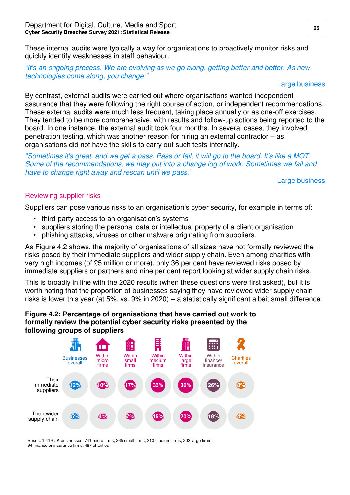These internal audits were typically a way for organisations to proactively monitor risks and quickly identify weaknesses in staff behaviour.

*"*It's an ongoing process. We are evolving as we go along, getting better and better. As new technologies come along, you change.*"*

#### Large business

By contrast, external audits were carried out where organisations wanted independent assurance that they were following the right course of action, or independent recommendations. These external audits were much less frequent, taking place annually or as one-off exercises. They tended to be more comprehensive, with results and follow-up actions being reported to the board. In one instance, the external audit took four months. In several cases, they involved penetration testing, which was another reason for hiring an external contractor – as organisations did not have the skills to carry out such tests internally.

*"*Sometimes it's great, and we get a pass. Pass or fail, it will go to the board. It's like a MOT. Some of the recommendations, we may put into a change log of work. Sometimes we fail and have to change right away and rescan until we pass.*"*

Large business

#### Reviewing supplier risks

Suppliers can pose various risks to an organisation's cyber security, for example in terms of:

- third-party access to an organisation's systems
- suppliers storing the personal data or intellectual property of a client organisation
- phishing attacks, viruses or other malware originating from suppliers.

As Figure 4.2 shows, the majority of organisations of all sizes have not formally reviewed the risks posed by their immediate suppliers and wider supply chain. Even among charities with very high incomes (of £5 million or more), only 36 per cent have reviewed risks posed by immediate suppliers or partners and nine per cent report looking at wider supply chain risks.

This is broadly in line with the 2020 results (when these questions were first asked), but it is worth noting that the proportion of businesses saying they have reviewed wider supply chain risks is lower this year (at 5%, vs. 9% in 2020) – a statistically significant albeit small difference.

#### **Figure 4.2: Percentage of organisations that have carried out work to formally review the potential cyber security risks presented by the following groups of suppliers**



Bases: 1,419 UK businesses; 741 micro firms; 265 small firms; 210 medium firms; 203 large firms; 94 finance or insurance firms; 487 charities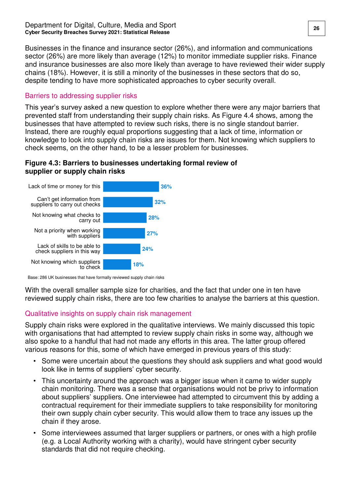Businesses in the finance and insurance sector (26%), and information and communications sector (26%) are more likely than average (12%) to monitor immediate supplier risks. Finance and insurance businesses are also more likely than average to have reviewed their wider supply chains (18%). However, it is still a minority of the businesses in these sectors that do so, despite tending to have more sophisticated approaches to cyber security overall.

#### Barriers to addressing supplier risks

This year's survey asked a new question to explore whether there were any major barriers that prevented staff from understanding their supply chain risks. As Figure 4.4 shows, among the businesses that have attempted to review such risks, there is no single standout barrier. Instead, there are roughly equal proportions suggesting that a lack of time, information or knowledge to look into supply chain risks are issues for them. Not knowing which suppliers to check seems, on the other hand, to be a lesser problem for businesses.

#### **Figure 4.3: Barriers to businesses undertaking formal review of supplier or supply chain risks**

![](_page_27_Figure_5.jpeg)

Base: 286 UK businesses that have formally reviewed supply chain risks

With the overall smaller sample size for charities, and the fact that under one in ten have reviewed supply chain risks, there are too few charities to analyse the barriers at this question.

### Qualitative insights on supply chain risk management

Supply chain risks were explored in the qualitative interviews. We mainly discussed this topic with organisations that had attempted to review supply chain risks in some way, although we also spoke to a handful that had not made any efforts in this area. The latter group offered various reasons for this, some of which have emerged in previous years of this study:

- Some were uncertain about the questions they should ask suppliers and what good would look like in terms of suppliers' cyber security.
- This uncertainty around the approach was a bigger issue when it came to wider supply chain monitoring. There was a sense that organisations would not be privy to information about suppliers' suppliers. One interviewee had attempted to circumvent this by adding a contractual requirement for their immediate suppliers to take responsibility for monitoring their own supply chain cyber security. This would allow them to trace any issues up the chain if they arose.
- Some interviewees assumed that larger suppliers or partners, or ones with a high profile (e.g. a Local Authority working with a charity), would have stringent cyber security standards that did not require checking.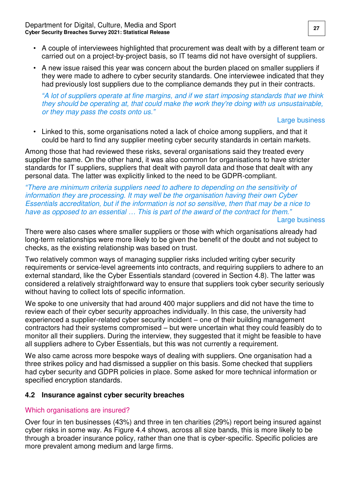- A couple of interviewees highlighted that procurement was dealt with by a different team or carried out on a project-by-project basis, so IT teams did not have oversight of suppliers.
- A new issue raised this year was concern about the burden placed on smaller suppliers if they were made to adhere to cyber security standards. One interviewee indicated that they had previously lost suppliers due to the compliance demands they put in their contracts.

#### *"*A lot of suppliers operate at fine margins, and if we start imposing standards that we think they should be operating at, that could make the work they're doing with us unsustainable, or they may pass the costs onto us.*"*

#### Large business

• Linked to this, some organisations noted a lack of choice among suppliers, and that it could be hard to find any supplier meeting cyber security standards in certain markets.

Among those that had reviewed these risks, several organisations said they treated every supplier the same. On the other hand, it was also common for organisations to have stricter standards for IT suppliers, suppliers that dealt with payroll data and those that dealt with any personal data. The latter was explicitly linked to the need to be GDPR-compliant.

*"*There are minimum criteria suppliers need to adhere to depending on the sensitivity of information they are processing. It may well be the organisation having their own Cyber Essentials accreditation, but if the information is not so sensitive, then that may be a nice to have as opposed to an essential *…* This is part of the award of the contract for them.*"*

Large business

There were also cases where smaller suppliers or those with which organisations already had long-term relationships were more likely to be given the benefit of the doubt and not subject to checks, as the existing relationship was based on trust.

Two relatively common ways of managing supplier risks included writing cyber security requirements or service-level agreements into contracts, and requiring suppliers to adhere to an external standard, like the Cyber Essentials standard (covered in Section 4.8). The latter was considered a relatively straightforward way to ensure that suppliers took cyber security seriously without having to collect lots of specific information.

We spoke to one university that had around 400 major suppliers and did not have the time to review each of their cyber security approaches individually. In this case, the university had experienced a supplier-related cyber security incident – one of their building management contractors had their systems compromised – but were uncertain what they could feasibly do to monitor all their suppliers. During the interview, they suggested that it might be feasible to have all suppliers adhere to Cyber Essentials, but this was not currently a requirement.

We also came across more bespoke ways of dealing with suppliers. One organisation had a three strikes policy and had dismissed a supplier on this basis. Some checked that suppliers had cyber security and GDPR policies in place. Some asked for more technical information or specified encryption standards.

#### <span id="page-28-0"></span>**4.2 Insurance against cyber security breaches**

### Which organisations are insured?

Over four in ten businesses (43%) and three in ten charities (29%) report being insured against cyber risks in some way. As Figure 4.4 shows, across all size bands, this is more likely to be through a broader insurance policy, rather than one that is cyber-specific. Specific policies are more prevalent among medium and large firms.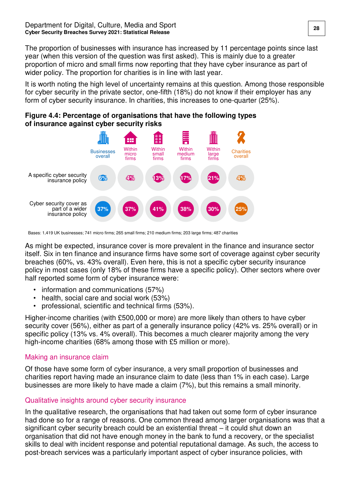The proportion of businesses with insurance has increased by 11 percentage points since last year (when this version of the question was first asked). This is mainly due to a greater proportion of micro and small firms now reporting that they have cyber insurance as part of wider policy. The proportion for charities is in line with last year.

It is worth noting the high level of uncertainty remains at this question. Among those responsible for cyber security in the private sector, one-fifth (18%) do not know if their employer has any form of cyber security insurance. In charities, this increases to one-quarter (25%).

![](_page_29_Figure_3.jpeg)

![](_page_29_Figure_4.jpeg)

Bases: 1,419 UK businesses; 741 micro firms; 265 small firms; 210 medium firms; 203 large firms; 487 charities

As might be expected, insurance cover is more prevalent in the finance and insurance sector itself. Six in ten finance and insurance firms have some sort of coverage against cyber security breaches (60%, vs. 43% overall). Even here, this is not a specific cyber security insurance policy in most cases (only 18% of these firms have a specific policy). Other sectors where over half reported some form of cyber insurance were:

- information and communications (57%)
- health, social care and social work (53%)
- professional, scientific and technical firms (53%).

Higher-income charities (with £500,000 or more) are more likely than others to have cyber security cover (56%), either as part of a generally insurance policy (42% vs. 25% overall) or in specific policy (13% vs. 4% overall). This becomes a much clearer majority among the very high-income charities (68% among those with £5 million or more).

#### Making an insurance claim

Of those have some form of cyber insurance, a very small proportion of businesses and charities report having made an insurance claim to date (less than 1% in each case). Large businesses are more likely to have made a claim (7%), but this remains a small minority.

#### Qualitative insights around cyber security insurance

In the qualitative research, the organisations that had taken out some form of cyber insurance had done so for a range of reasons. One common thread among larger organisations was that a significant cyber security breach could be an existential threat – it could shut down an organisation that did not have enough money in the bank to fund a recovery, or the specialist skills to deal with incident response and potential reputational damage. As such, the access to post-breach services was a particularly important aspect of cyber insurance policies, with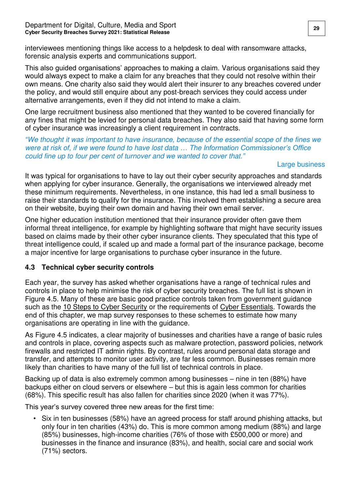#### Department for Digital, Culture, Media and Sport **29 1998 1998 1998 1998 1998 1999 Cyber Security Breaches Survey 2021: Statistical Release**

interviewees mentioning things like access to a helpdesk to deal with ransomware attacks, forensic analysis experts and communications support.

This also guided organisations' approaches to making a claim. Various organisations said they would always expect to make a claim for any breaches that they could not resolve within their own means. One charity also said they would alert their insurer to any breaches covered under the policy, and would still enquire about any post-breach services they could access under alternative arrangements, even if they did not intend to make a claim.

One large recruitment business also mentioned that they wanted to be covered financially for any fines that might be levied for personal data breaches. They also said that having some form of cyber insurance was increasingly a client requirement in contracts.

*"*We thought it was important to have insurance, because of the essential scope of the fines we were at risk of, if we were found to have lost data *…* The I*nformation Commissioner's Office* could fine up to four per cent of turnover and we wanted to cover that.*"*

#### Large business

It was typical for organisations to have to lay out their cyber security approaches and standards when applying for cyber insurance. Generally, the organisations we interviewed already met these minimum requirements. Nevertheless, in one instance, this had led a small business to raise their standards to qualify for the insurance. This involved them establishing a secure area on their website, buying their own domain and having their own email server.

One higher education institution mentioned that their insurance provider often gave them informal threat intelligence, for example by highlighting software that might have security issues based on claims made by their other cyber insurance clients. They speculated that this type of threat intelligence could, if scaled up and made a formal part of the insurance package, become a major incentive for large organisations to purchase cyber insurance in the future.

#### <span id="page-30-0"></span>**4.3 Technical cyber security controls**

Each year, the survey has asked whether organisations have a range of technical rules and controls in place to help minimise the risk of cyber security breaches. The full list is shown in Figure 4.5. Many of these are basic good practice controls taken from government guidance such as the [10 Steps to Cyber Security](https://www.ncsc.gov.uk/collection/10-steps-to-cyber-security/the-10-steps) or the requirements of [Cyber Essentials.](https://www.ncsc.gov.uk/cyberessentials/advice) Towards the end of this chapter, we map survey responses to these schemes to estimate how many organisations are operating in line with the guidance.

As Figure 4.5 indicates, a clear majority of businesses and charities have a range of basic rules and controls in place, covering aspects such as malware protection, password policies, network firewalls and restricted IT admin rights. By contrast, rules around personal data storage and transfer, and attempts to monitor user activity, are far less common. Businesses remain more likely than charities to have many of the full list of technical controls in place.

Backing up of data is also extremely common among businesses – nine in ten (88%) have backups either on cloud servers or elsewhere – but this is again less common for charities (68%). This specific result has also fallen for charities since 2020 (when it was 77%).

This year's survey covered three new areas for the first time:

• Six in ten businesses (58%) have an agreed process for staff around phishing attacks, but only four in ten charities (43%) do. This is more common among medium (88%) and large (85%) businesses, high-income charities (76% of those with £500,000 or more) and businesses in the finance and insurance (83%), and health, social care and social work (71%) sectors.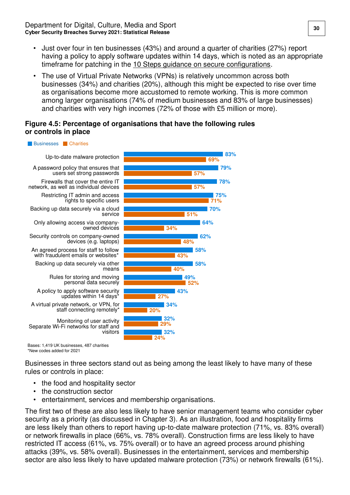- Just over four in ten businesses (43%) and around a quarter of charities (27%) report having a policy to apply software updates within 14 days, which is noted as an appropriate timeframe for patching in the [10 Steps guidance on secure configurations.](https://www.ncsc.gov.uk/collection/10-steps-to-cyber-security/the-10-steps/secure-configuration)
- The use of Virtual Private Networks (VPNs) is relatively uncommon across both businesses (34%) and charities (20%), although this might be expected to rise over time as organisations become more accustomed to remote working. This is more common among larger organisations (74% of medium businesses and 83% of large businesses) and charities with very high incomes (72% of those with £5 million or more).

#### **Figure 4.5: Percentage of organisations that have the following rules or controls in place**

#### **Businesses** Charities

A policy to apply software security updates within 14 days Firewalls that cover the entire IT network, as well as individual devices Up-to-date malware protection Restricting IT admin and access rights to specific users Only allowing access via companyowned devices Security controls on company-owned devices (e.g. laptops) Separate Wi-Fi networks for staff and visitors Monitoring of user activity Rules for storing and moving personal data securely Backing up data securely via other means Backing up data securely via a cloud service A password policy that ensures that users set strong passwords An agreed process for staff to follow with fraudulent emails or websites\* A virtual private network, or VPN, for staff connecting remotely\*

![](_page_31_Figure_6.jpeg)

Bases: 1,419 UK businesses, 487 charities \*New codes added for 2021

Businesses in three sectors stand out as being among the least likely to have many of these rules or controls in place:

- the food and hospitality sector
- the construction sector
- entertainment, services and membership organisations.

The first two of these are also less likely to have senior management teams who consider cyber security as a priority (as discussed in Chapter 3). As an illustration, food and hospitality firms are less likely than others to report having up-to-date malware protection (71%, vs. 83% overall) or network firewalls in place (66%, vs. 78% overall). Construction firms are less likely to have restricted IT access (61%, vs. 75% overall) or to have an agreed process around phishing attacks (39%, vs. 58% overall). Businesses in the entertainment, services and membership sector are also less likely to have updated malware protection (73%) or network firewalls (61%).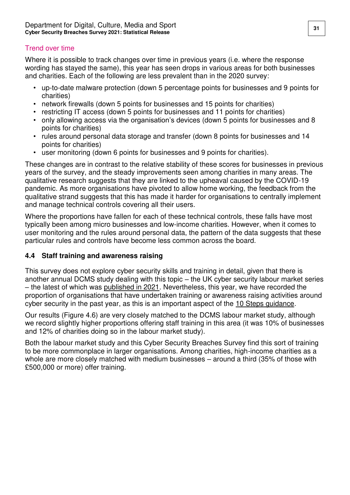#### Trend over time

Where it is possible to track changes over time in previous years (i.e. where the response wording has stayed the same), this year has seen drops in various areas for both businesses and charities. Each of the following are less prevalent than in the 2020 survey:

- up-to-date malware protection (down 5 percentage points for businesses and 9 points for charities)
- network firewalls (down 5 points for businesses and 15 points for charities)
- restricting IT access (down 5 points for businesses and 11 points for charities)
- only allowing access via the organisation's devices (down 5 points for businesses and 8 points for charities)
- rules around personal data storage and transfer (down 8 points for businesses and 14 points for charities)
- user monitoring (down 6 points for businesses and 9 points for charities).

These changes are in contrast to the relative stability of these scores for businesses in previous years of the survey, and the steady improvements seen among charities in many areas. The qualitative research suggests that they are linked to the upheaval caused by the COVID-19 pandemic. As more organisations have pivoted to allow home working, the feedback from the qualitative strand suggests that this has made it harder for organisations to centrally implement and manage technical controls covering all their users.

Where the proportions have fallen for each of these technical controls, these falls have most typically been among micro businesses and low-income charities. However, when it comes to user monitoring and the rules around personal data, the pattern of the data suggests that these particular rules and controls have become less common across the board.

#### <span id="page-32-0"></span>**4.4 Staff training and awareness raising**

This survey does not explore cyber security skills and training in detail, given that there is another annual DCMS study dealing with this topic – the UK cyber security labour market series – the latest of which was [published in 2021.](https://www.gov.uk/government/publications/cyber-security-skills-in-the-uk-labour-market-2021) Nevertheless, this year, we have recorded the proportion of organisations that have undertaken training or awareness raising activities around cyber security in the past year, as this is an important aspect of the [10 Steps guidance.](https://www.ncsc.gov.uk/collection/10-steps-to-cyber-security/the-10-steps/user-education-and-awareness)

Our results (Figure 4.6) are very closely matched to the DCMS labour market study, although we record slightly higher proportions offering staff training in this area (it was 10% of businesses and 12% of charities doing so in the labour market study).

Both the labour market study and this Cyber Security Breaches Survey find this sort of training to be more commonplace in larger organisations. Among charities, high-income charities as a whole are more closely matched with medium businesses – around a third (35% of those with £500,000 or more) offer training.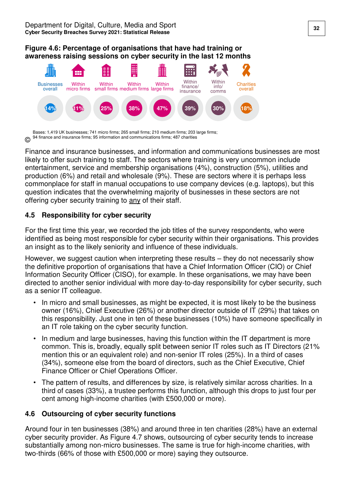#### **Figure 4.6: Percentage of organisations that have had training or awareness raising sessions on cyber security in the last 12 months**

![](_page_33_Figure_2.jpeg)

© Bases: 1,419 UK businesses; 741 micro firms; 265 small firms; 210 medium firms; 203 large firms; 94 finance and insurance firms; 95 information and communications firms; 487 charities

Finance and insurance businesses, and information and communications businesses are most likely to offer such training to staff. The sectors where training is very uncommon include entertainment, service and membership organisations (4%), construction (5%), utilities and production (6%) and retail and wholesale (9%). These are sectors where it is perhaps less commonplace for staff in manual occupations to use company devices (e.g. laptops), but this question indicates that the overwhelming majority of businesses in these sectors are not offering cyber security training to any of their staff.

#### <span id="page-33-0"></span>**4.5 Responsibility for cyber security**

For the first time this year, we recorded the job titles of the survey respondents, who were identified as being most responsible for cyber security within their organisations. This provides an insight as to the likely seniority and influence of these individuals.

However, we suggest caution when interpreting these results – they do not necessarily show the definitive proportion of organisations that have a Chief Information Officer (CIO) or Chief Information Security Officer (CISO), for example. In these organisations, we may have been directed to another senior individual with more day-to-day responsibility for cyber security, such as a senior IT colleague.

- In micro and small businesses, as might be expected, it is most likely to be the business owner (16%), Chief Executive (26%) or another director outside of IT (29%) that takes on this responsibility. Just one in ten of these businesses (10%) have someone specifically in an IT role taking on the cyber security function.
- In medium and large businesses, having this function within the IT department is more common. This is, broadly, equally split between senior IT roles such as IT Directors (21% mention this or an equivalent role) and non-senior IT roles (25%). In a third of cases (34%), someone else from the board of directors, such as the Chief Executive, Chief Finance Officer or Chief Operations Officer.
- The pattern of results, and differences by size, is relatively similar across charities. In a third of cases (33%), a trustee performs this function, although this drops to just four per cent among high-income charities (with £500,000 or more).

### <span id="page-33-1"></span>**4.6 Outsourcing of cyber security functions**

Around four in ten businesses (38%) and around three in ten charities (28%) have an external cyber security provider. As Figure 4.7 shows, outsourcing of cyber security tends to increase substantially among non-micro businesses. The same is true for high-income charities, with two-thirds (66% of those with £500,000 or more) saying they outsource.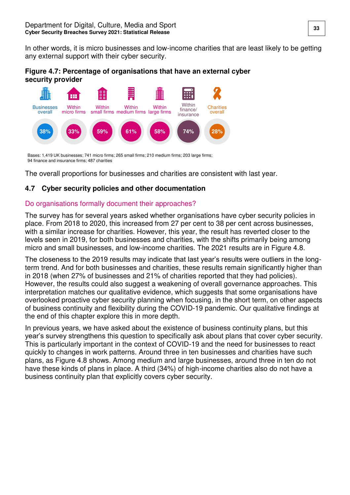In other words, it is micro businesses and low-income charities that are least likely to be getting any external support with their cyber security.

**Figure 4.7: Percentage of organisations that have an external cyber security provider** 

![](_page_34_Figure_3.jpeg)

Bases: 1,419 UK businesses; 741 micro firms; 265 small firms; 210 medium firms; 203 large firms; 94 finance and insurance firms; 487 charities

The overall proportions for businesses and charities are consistent with last year.

### <span id="page-34-0"></span>**4.7 Cyber security policies and other documentation**

#### Do organisations formally document their approaches?

The survey has for several years asked whether organisations have cyber security policies in place. From 2018 to 2020, this increased from 27 per cent to 38 per cent across businesses, with a similar increase for charities. However, this year, the result has reverted closer to the levels seen in 2019, for both businesses and charities, with the shifts primarily being among micro and small businesses, and low-income charities. The 2021 results are in Figure 4.8.

The closeness to the 2019 results may indicate that last year's results were outliers in the longterm trend. And for both businesses and charities, these results remain significantly higher than in 2018 (when 27% of businesses and 21% of charities reported that they had policies). However, the results could also suggest a weakening of overall governance approaches. This interpretation matches our qualitative evidence, which suggests that some organisations have overlooked proactive cyber security planning when focusing, in the short term, on other aspects of business continuity and flexibility during the COVID-19 pandemic. Our qualitative findings at the end of this chapter explore this in more depth.

In previous years, we have asked about the existence of business continuity plans, but this year's survey strengthens this question to specifically ask about plans that cover cyber security. This is particularly important in the context of COVID-19 and the need for businesses to react quickly to changes in work patterns. Around three in ten businesses and charities have such plans, as Figure 4.8 shows. Among medium and large businesses, around three in ten do not have these kinds of plans in place. A third (34%) of high-income charities also do not have a business continuity plan that explicitly covers cyber security.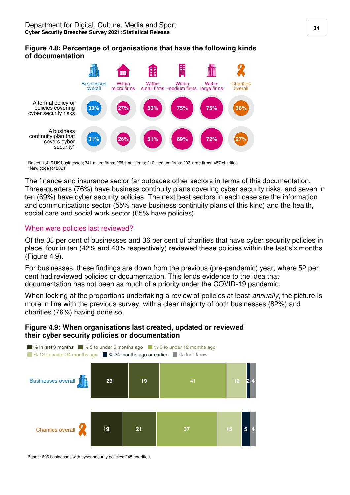#### **Figure 4.8: Percentage of organisations that have the following kinds of documentation**

![](_page_35_Figure_2.jpeg)

Bases: 1,419 UK businesses; 741 micro firms; 265 small firms; 210 medium firms; 203 large firms; 487 charities \*New code for 2021

The finance and insurance sector far outpaces other sectors in terms of this documentation. Three-quarters (76%) have business continuity plans covering cyber security risks, and seven in ten (69%) have cyber security policies. The next best sectors in each case are the information and communications sector (55% have business continuity plans of this kind) and the health, social care and social work sector (65% have policies).

#### When were policies last reviewed?

Of the 33 per cent of businesses and 36 per cent of charities that have cyber security policies in place, four in ten (42% and 40% respectively) reviewed these policies within the last six months (Figure 4.9).

For businesses, these findings are down from the previous (pre-pandemic) year, where 52 per cent had reviewed policies or documentation. This lends evidence to the idea that documentation has not been as much of a priority under the COVID-19 pandemic.

When looking at the proportions undertaking a review of policies at least *annually*, the picture is more in line with the previous survey, with a clear majority of both businesses (82%) and charities (76%) having done so.

#### **Figure 4.9: When organisations last created, updated or reviewed their cyber security policies or documentation**

![](_page_35_Figure_10.jpeg)

Bases: 696 businesses with cyber security policies; 245 charities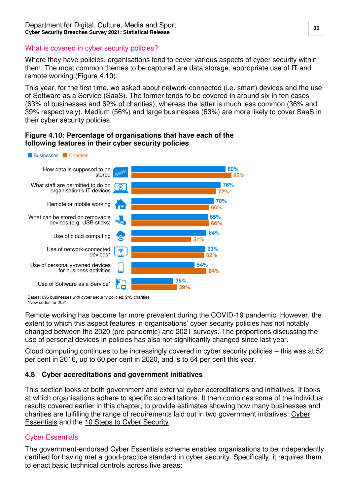#### What is covered in cyber security policies?

Where they have policies, organisations tend to cover various aspects of cyber security within them. The most common themes to be captured are data storage, appropriate use of IT and remote working (Figure 4.10).

This year, for the first time, we asked about network-connected (i.e. smart) devices and the use of Software as a Service (SaaS). The former tends to be covered in around six in ten cases (63% of businesses and 62% of charities), whereas the latter is much less common (36% and 39% respectively). Medium (56%) and large businesses (63%) are more likely to cover SaaS in their cyber security policies.

#### **Figure 4.10: Percentage of organisations that have each of the following features in their cyber security policies**

![](_page_36_Figure_5.jpeg)

Bases: 696 businesses with cyber security policies; 245 charities \*New codes for 2021

Remote working has become far more prevalent during the COVID-19 pandemic. However, the extent to which this aspect features in organisations' cyber security policies has not notably changed between the 2020 (pre-pandemic) and 2021 surveys. The proportions discussing the use of personal devices in policies has also not significantly changed since last year.

Cloud computing continues to be increasingly covered in cyber security policies – this was at 52 per cent in 2016, up to 60 per cent in 2020, and is to 64 per cent this year.

#### <span id="page-36-0"></span>**4.8 Cyber accreditations and government initiatives**

This section looks at both government and external cyber accreditations and initiatives. It looks at which organisations adhere to specific accreditations. It then combines some of the individual results covered earlier in this chapter, to provide estimates showing how many businesses and charities are fulfilling the range of requirements laid out in two government initiatives: [Cyber](https://www.ncsc.gov.uk/cyberessentials/overview)  [Essentials](https://www.ncsc.gov.uk/cyberessentials/overview) and the [10 Steps to Cyber Security.](https://www.ncsc.gov.uk/collection/10-steps-to-cyber-security)

### Cyber Essentials

The government-endorsed Cyber Essentials scheme enables organisations to be independently certified for having met a good-practice standard in cyber security. Specifically, it requires them to enact basic technical controls across five areas: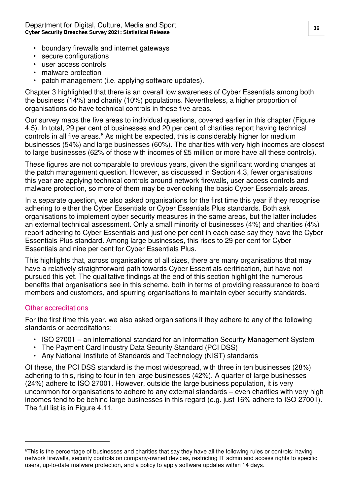Department for Digital, Culture, Media and Sport **36 1998 1998 1998 1998 1998 1998 1998 1998 1999 1999 1999 1999 1999 1999 1999 1999 1999 1999 1999 1999 1999 1999 1999 1999 Cyber Security Breaches Survey 2021: Statistical Release** 

- boundary firewalls and internet gateways
- secure configurations
- user access controls
- malware protection
- patch management (i.e. applying software updates).

Chapter 3 highlighted that there is an overall low awareness of Cyber Essentials among both the business (14%) and charity (10%) populations. Nevertheless, a higher proportion of organisations do have technical controls in these five areas.

Our survey maps the five areas to individual questions, covered earlier in this chapter (Figure 4.5). In total, 29 per cent of businesses and 20 per cent of charities report having technical controls in all five areas.<sup>6</sup> As might be expected, this is considerably higher for medium businesses (54%) and large businesses (60%). The charities with very high incomes are closest to large businesses (62% of those with incomes of £5 million or more have all these controls).

These figures are not comparable to previous years, given the significant wording changes at the patch management question. However, as discussed in Section 4.3, fewer organisations this year are applying technical controls around network firewalls, user access controls and malware protection, so more of them may be overlooking the basic Cyber Essentials areas.

In a separate question, we also asked organisations for the first time this year if they recognise adhering to either the Cyber Essentials or Cyber Essentials Plus standards. Both ask organisations to implement cyber security measures in the same areas, but the latter includes an external technical assessment. Only a small minority of businesses (4%) and charities (4%) report adhering to Cyber Essentials and just one per cent in each case say they have the Cyber Essentials Plus standard. Among large businesses, this rises to 29 per cent for Cyber Essentials and nine per cent for Cyber Essentials Plus.

This highlights that, across organisations of all sizes, there are many organisations that may have a relatively straightforward path towards Cyber Essentials certification, but have not pursued this yet. The qualitative findings at the end of this section highlight the numerous benefits that organisations see in this scheme, both in terms of providing reassurance to board members and customers, and spurring organisations to maintain cyber security standards.

#### Other accreditations

 $\overline{a}$ 

For the first time this year, we also asked organisations if they adhere to any of the following standards or accreditations:

- ISO 27001 an international standard for an Information Security Management System
- The Payment Card Industry Data Security Standard (PCI DSS)
- Any National Institute of Standards and Technology (NIST) standards

Of these, the PCI DSS standard is the most widespread, with three in ten businesses (28%) adhering to this, rising to four in ten large businesses (42%). A quarter of large businesses (24%) adhere to ISO 27001. However, outside the large business population, it is very uncommon for organisations to adhere to any external standards – even charities with very high incomes tend to be behind large businesses in this regard (e.g. just 16% adhere to ISO 27001). The full list is in Figure 4.11.

<sup>&</sup>lt;sup>6</sup>This is the percentage of businesses and charities that say they have all the following rules or controls: having network firewalls, security controls on company-owned devices, restricting IT admin and access rights to specific users, up-to-date malware protection, and a policy to apply software updates within 14 days.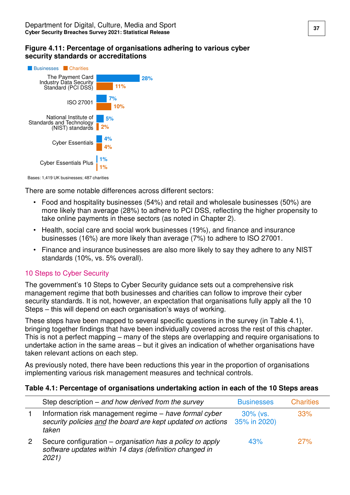#### **Figure 4.11: Percentage of organisations adhering to various cyber security standards or accreditations**

![](_page_38_Figure_2.jpeg)

Bases: 1,419 UK businesses; 487 charities

There are some notable differences across different sectors:

- Food and hospitality businesses (54%) and retail and wholesale businesses (50%) are more likely than average (28%) to adhere to PCI DSS, reflecting the higher propensity to take online payments in these sectors (as noted in Chapter 2).
- Health, social care and social work businesses (19%), and finance and insurance businesses (16%) are more likely than average (7%) to adhere to ISO 27001.
- Finance and insurance businesses are also more likely to say they adhere to any NIST standards (10%, vs. 5% overall).

#### 10 Steps to Cyber Security

The government's 10 Steps to Cyber Security guidance sets out a comprehensive risk management regime that both businesses and charities can follow to improve their cyber security standards. It is not, however, an expectation that organisations fully apply all the 10 Steps – this will depend on each organisation's ways of working.

These steps have been mapped to several specific questions in the survey (in Table 4.1), bringing together findings that have been individually covered across the rest of this chapter. This is not a perfect mapping – many of the steps are overlapping and require organisations to undertake action in the same areas – but it gives an indication of whether organisations have taken relevant actions on each step.

As previously noted, there have been reductions this year in the proportion of organisations implementing various risk management measures and technical controls.

#### **Table 4.1: Percentage of organisations undertaking action in each of the 10 Steps areas**

| Step description $-$ and how derived from the survey                                                                           | <b>Businesses</b>           | <b>Charities</b> |
|--------------------------------------------------------------------------------------------------------------------------------|-----------------------------|------------------|
| Information risk management regime – have formal cyber<br>security policies and the board are kept updated on actions<br>taken | $30\%$ (vs.<br>35% in 2020) | 33%              |
| Secure configuration – organisation has a policy to apply<br>software updates within 14 days (definition changed in<br>2021)   | 43%                         | 27%              |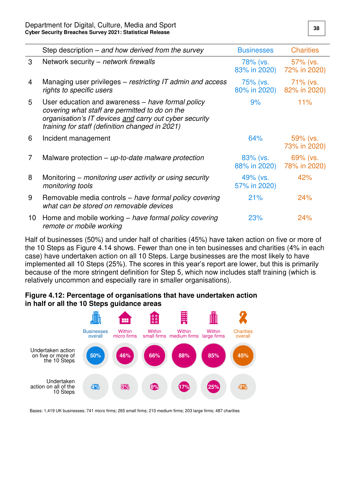|    | Step description $-$ and how derived from the survey                                                                                                                                                             | <b>Businesses</b>        | <b>Charities</b>            |
|----|------------------------------------------------------------------------------------------------------------------------------------------------------------------------------------------------------------------|--------------------------|-----------------------------|
| 3  | Network security – network firewalls                                                                                                                                                                             | 78% (vs.<br>83% in 2020) | $57\%$ (vs.<br>72% in 2020) |
| 4  | Managing user privileges – restricting IT admin and access<br>rights to specific users                                                                                                                           | 75% (vs.<br>80% in 2020) | $71\%$ (vs.<br>82% in 2020) |
| 5  | User education and awareness – have formal policy<br>covering what staff are permitted to do on the<br>organisation's IT devices and carry out cyber security<br>training for staff (definition changed in 2021) | 9%                       | 11%                         |
| 6  | Incident management                                                                                                                                                                                              | 64%                      | 59% (vs.<br>73% in 2020)    |
| 7  | Malware protection $-$ up-to-date malware protection                                                                                                                                                             | 83% (vs.<br>88% in 2020) | 69% (vs.<br>78% in 2020)    |
| 8  | Monitoring – monitoring user activity or using security<br>monitoring tools                                                                                                                                      | 49% (vs.<br>57% in 2020) | 42%                         |
| 9  | Removable media controls – have formal policy covering<br>what can be stored on removable devices                                                                                                                | 21%                      | 24%                         |
| 10 | Home and mobile working – have formal policy covering<br>remote or mobile working                                                                                                                                | 23%                      | 24%                         |

Half of businesses (50%) and under half of charities (45%) have taken action on five or more of the 10 Steps as Figure 4.14 shows. Fewer than one in ten businesses and charities (4% in each case) have undertaken action on all 10 Steps. Large businesses are the most likely to have implemented all 10 Steps (25%). The scores in this year's report are lower, but this is primarily because of the more stringent definition for Step 5, which now includes staff training (which is relatively uncommon and especially rare in smaller organisations).

#### **Figure 4.12: Percentage of organisations that have undertaken action in half or all the 10 Steps guidance areas**

![](_page_39_Figure_4.jpeg)

Bases: 1,419 UK businesses; 741 micro firms; 265 small firms; 210 medium firms; 203 large firms; 487 charities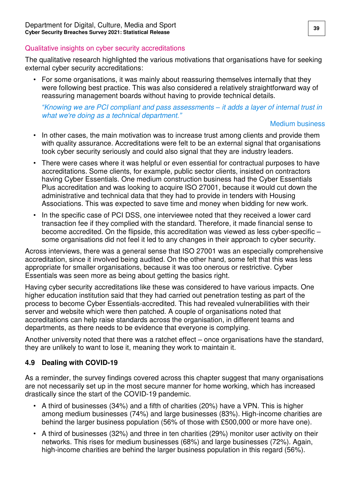#### Qualitative insights on cyber security accreditations

The qualitative research highlighted the various motivations that organisations have for seeking external cyber security accreditations:

• For some organisations, it was mainly about reassuring themselves internally that they were following best practice. This was also considered a relatively straightforward way of reassuring management boards without having to provide technical details.

#### *"*Knowing we are PCI compliant and pass assessments *–* it adds a layer of internal trust in what we're doing as a technical department*."*

#### Medium business

- In other cases, the main motivation was to increase trust among clients and provide them with quality assurance. Accreditations were felt to be an external signal that organisations took cyber security seriously and could also signal that they are industry leaders.
- There were cases where it was helpful or even essential for contractual purposes to have accreditations. Some clients, for example, public sector clients, insisted on contractors having Cyber Essentials. One medium construction business had the Cyber Essentials Plus accreditation and was looking to acquire ISO 27001, because it would cut down the administrative and technical data that they had to provide in tenders with Housing Associations. This was expected to save time and money when bidding for new work.
- In the specific case of PCI DSS, one interviewee noted that they received a lower card transaction fee if they complied with the standard. Therefore, it made financial sense to become accredited. On the flipside, this accreditation was viewed as less cyber-specific – some organisations did not feel it led to any changes in their approach to cyber security.

Across interviews, there was a general sense that ISO 27001 was an especially comprehensive accreditation, since it involved being audited. On the other hand, some felt that this was less appropriate for smaller organisations, because it was too onerous or restrictive. Cyber Essentials was seen more as being about getting the basics right.

Having cyber security accreditations like these was considered to have various impacts. One higher education institution said that they had carried out penetration testing as part of the process to become Cyber Essentials-accredited. This had revealed vulnerabilities with their server and website which were then patched. A couple of organisations noted that accreditations can help raise standards across the organisation, in different teams and departments, as there needs to be evidence that everyone is complying.

Another university noted that there was a ratchet effect – once organisations have the standard, they are unlikely to want to lose it, meaning they work to maintain it.

### <span id="page-40-0"></span>**4.9 Dealing with COVID-19**

As a reminder, the survey findings covered across this chapter suggest that many organisations are not necessarily set up in the most secure manner for home working, which has increased drastically since the start of the COVID-19 pandemic.

- A third of businesses (34%) and a fifth of charities (20%) have a VPN. This is higher among medium businesses (74%) and large businesses (83%). High-income charities are behind the larger business population (56% of those with £500,000 or more have one).
- A third of businesses (32%) and three in ten charities (29%) monitor user activity on their networks. This rises for medium businesses (68%) and large businesses (72%). Again, high-income charities are behind the larger business population in this regard (56%).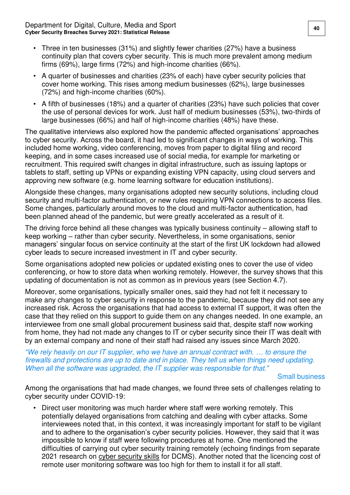- Three in ten businesses (31%) and slightly fewer charities (27%) have a business continuity plan that covers cyber security. This is much more prevalent among medium firms (69%), large firms (72%) and high-income charities (66%).
- A quarter of businesses and charities (23% of each) have cyber security policies that cover home working. This rises among medium businesses (62%), large businesses (72%) and high-income charities (60%).
- A fifth of businesses (18%) and a quarter of charities (23%) have such policies that cover the use of personal devices for work. Just half of medium businesses (53%), two-thirds of large businesses (66%) and half of high-income charities (48%) have these.

The qualitative interviews also explored how the pandemic affected organisations' approaches to cyber security. Across the board, it had led to significant changes in ways of working. This included home working, video conferencing, moves from paper to digital filing and record keeping, and in some cases increased use of social media, for example for marketing or recruitment. This required swift changes in digital infrastructure, such as issuing laptops or tablets to staff, setting up VPNs or expanding existing VPN capacity, using cloud servers and approving new software (e.g. home learning software for education institutions).

Alongside these changes, many organisations adopted new security solutions, including cloud security and multi-factor authentication, or new rules requiring VPN connections to access files. Some changes, particularly around moves to the cloud and multi-factor authentication, had been planned ahead of the pandemic, but were greatly accelerated as a result of it.

The driving force behind all these changes was typically business continuity – allowing staff to keep working – rather than cyber security. Nevertheless, in some organisations, senior managers' singular focus on service continuity at the start of the first UK lockdown had allowed cyber leads to secure increased investment in IT and cyber security.

Some organisations adopted new policies or updated existing ones to cover the use of video conferencing, or how to store data when working remotely. However, the survey shows that this updating of documentation is not as common as in previous years (see Section 4.7).

Moreover, some organisations, typically smaller ones, said they had not felt it necessary to make any changes to cyber security in response to the pandemic, because they did not see any increased risk. Across the organisations that had access to external IT support, it was often the case that they relied on this support to guide them on any changes needed. In one example, an interviewee from one small global procurement business said that, despite staff now working from home, they had not made any changes to IT or cyber security since their IT was dealt with by an external company and none of their staff had raised any issues since March 2020.

*"*We rely heavily on our IT supplier, who we have an annual contract with. *…* to ensure the firewalls and protections are up to date and in place. They tell us when things need updating. When all the software was upgraded, the IT supplier was responsible for that*."*

Small business

Among the organisations that had made changes, we found three sets of challenges relating to cyber security under COVID-19:

• Direct user monitoring was much harder where staff were working remotely. This potentially delayed organisations from catching and dealing with cyber attacks. Some interviewees noted that, in this context, it was increasingly important for staff to be vigilant and to adhere to the organisation's cyber security policies. However, they said that it was impossible to know if staff were following procedures at home. One mentioned the difficulties of carrying out cyber security training remotely (echoing findings from separate 2021 research on [cyber security skills](https://www.gov.uk/government/publications/cyber-security-skills-in-the-uk-labour-market-2021) for DCMS). Another noted that the licencing cost of remote user monitoring software was too high for them to install it for all staff.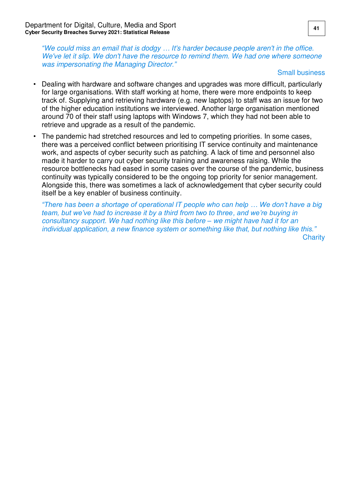*"*We could miss an email that is dodgy *… I*t's harder because people aren't in the office. We've let it slip. We don't have the resource to remind them. We had one where someone was impersonating the Managing Director*."*

#### Small business

- Dealing with hardware and software changes and upgrades was more difficult, particularly for large organisations. With staff working at home, there were more endpoints to keep track of. Supplying and retrieving hardware (e.g. new laptops) to staff was an issue for two of the higher education institutions we interviewed. Another large organisation mentioned around 70 of their staff using laptops with Windows 7, which they had not been able to retrieve and upgrade as a result of the pandemic.
- The pandemic had stretched resources and led to competing priorities. In some cases, there was a perceived conflict between prioritising IT service continuity and maintenance work, and aspects of cyber security such as patching. A lack of time and personnel also made it harder to carry out cyber security training and awareness raising. While the resource bottlenecks had eased in some cases over the course of the pandemic, business continuity was typically considered to be the ongoing top priority for senior management. Alongside this, there was sometimes a lack of acknowledgement that cyber security could itself be a key enabler of business continuity.

*"There has been a shortage of operational IT people who can help … We don't have a big team, but we've had to increase it by a third from two to three*, *and we're buying in*  consultancy support. We had nothing like this before *–* we might have had it for an individual application, a *new finance system or something like that, but nothing like this."* **Charity**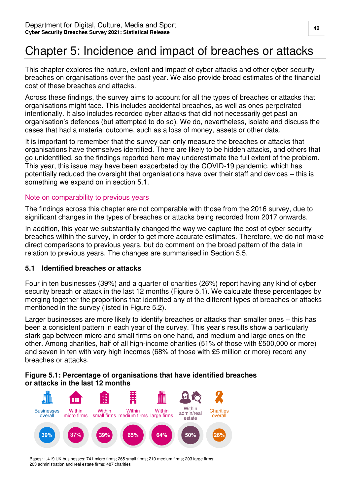# <span id="page-43-0"></span>Chapter 5: Incidence and impact of breaches or attacks

This chapter explores the nature, extent and impact of cyber attacks and other cyber security breaches on organisations over the past year. We also provide broad estimates of the financial cost of these breaches and attacks.

Across these findings, the survey aims to account for all the types of breaches or attacks that organisations might face. This includes accidental breaches, as well as ones perpetrated intentionally. It also includes recorded cyber attacks that did not necessarily get past an organisation's defences (but attempted to do so). We do, nevertheless, isolate and discuss the cases that had a material outcome, such as a loss of money, assets or other data.

It is important to remember that the survey can only measure the breaches or attacks that organisations have themselves identified. There are likely to be hidden attacks, and others that go unidentified, so the findings reported here may underestimate the full extent of the problem. This year, this issue may have been exacerbated by the COVID-19 pandemic, which has potentially reduced the oversight that organisations have over their staff and devices – this is something we expand on in section 5.1.

#### Note on comparability to previous years

The findings across this chapter are not comparable with those from the 2016 survey, due to significant changes in the types of breaches or attacks being recorded from 2017 onwards.

In addition, this year we substantially changed the way we capture the cost of cyber security breaches within the survey, in order to get more accurate estimates. Therefore, we do not make direct comparisons to previous years, but do comment on the broad pattern of the data in relation to previous years. The changes are summarised in Section 5.5.

#### <span id="page-43-1"></span>**5.1 Identified breaches or attacks**

Four in ten businesses (39%) and a quarter of charities (26%) report having any kind of cyber security breach or attack in the last 12 months (Figure 5.1). We calculate these percentages by merging together the proportions that identified any of the different types of breaches or attacks mentioned in the survey (listed in Figure 5.2).

Larger businesses are more likely to identify breaches or attacks than smaller ones – this has been a consistent pattern in each year of the survey. This year's results show a particularly stark gap between micro and small firms on one hand, and medium and large ones on the other. Among charities, half of all high-income charities (51% of those with £500,000 or more) and seven in ten with very high incomes (68% of those with £5 million or more) record any breaches or attacks.

#### **Figure 5.1: Percentage of organisations that have identified breaches or attacks in the last 12 months**

![](_page_43_Figure_12.jpeg)

Bases: 1,419 UK businesses; 741 micro firms; 265 small firms; 210 medium firms; 203 large firms; 203 administration and real estate firms; 487 charities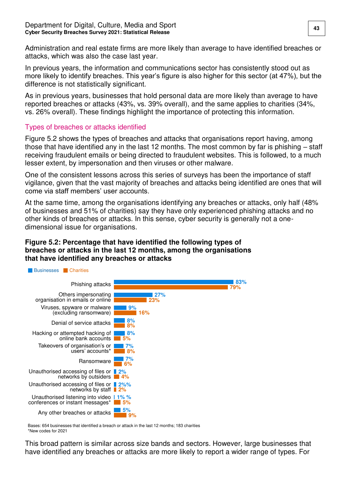#### Department for Digital, Culture, Media and Sport **43 Cyber Security Breaches Survey 2021: Statistical Release**

Administration and real estate firms are more likely than average to have identified breaches or attacks, which was also the case last year.

In previous years, the information and communications sector has consistently stood out as more likely to identify breaches. This year's figure is also higher for this sector (at 47%), but the difference is not statistically significant.

As in previous years, businesses that hold personal data are more likely than average to have reported breaches or attacks (43%, vs. 39% overall), and the same applies to charities (34%, vs. 26% overall). These findings highlight the importance of protecting this information.

#### Types of breaches or attacks identified

Figure 5.2 shows the types of breaches and attacks that organisations report having, among those that have identified any in the last 12 months. The most common by far is phishing – staff receiving fraudulent emails or being directed to fraudulent websites. This is followed, to a much lesser extent, by impersonation and then viruses or other malware.

One of the consistent lessons across this series of surveys has been the importance of staff vigilance, given that the vast majority of breaches and attacks being identified are ones that will come via staff members' user accounts.

At the same time, among the organisations identifying any breaches or attacks, only half (48% of businesses and 51% of charities) say they have only experienced phishing attacks and no other kinds of breaches or attacks. In this sense, cyber security is generally not a onedimensional issue for organisations.

#### **Figure 5.2: Percentage that have identified the following types of breaches or attacks in the last 12 months, among the organisations that have identified any breaches or attacks**

![](_page_44_Figure_9.jpeg)

Bases: 654 businesses that identified a breach or attack in the last 12 months; 183 charities \*New codes for 2021

This broad pattern is similar across size bands and sectors. However, large businesses that have identified any breaches or attacks are more likely to report a wider range of types. For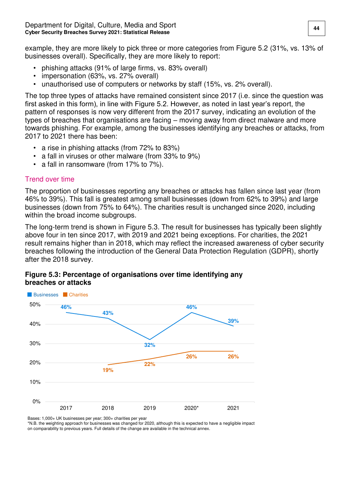example, they are more likely to pick three or more categories from Figure 5.2 (31%, vs. 13% of businesses overall). Specifically, they are more likely to report:

- phishing attacks (91% of large firms, vs. 83% overall)
- impersonation (63%, vs. 27% overall)
- unauthorised use of computers or networks by staff (15%, vs. 2% overall).

The top three types of attacks have remained consistent since 2017 (i.e. since the question was first asked in this form), in line with Figure 5.2. However, as noted in last year's report, the pattern of responses is now very different from the 2017 survey, indicating an evolution of the types of breaches that organisations are facing – moving away from direct malware and more towards phishing. For example, among the businesses identifying any breaches or attacks, from 2017 to 2021 there has been:

- a rise in phishing attacks (from 72% to 83%)
- a fall in viruses or other malware (from 33% to 9%)
- a fall in ransomware (from 17% to 7%).

#### Trend over time

The proportion of businesses reporting any breaches or attacks has fallen since last year (from 46% to 39%). This fall is greatest among small businesses (down from 62% to 39%) and large businesses (down from 75% to 64%). The charities result is unchanged since 2020, including within the broad income subgroups.

The long-term trend is shown in Figure 5.3. The result for businesses has typically been slightly above four in ten since 2017, with 2019 and 2021 being exceptions. For charities, the 2021 result remains higher than in 2018, which may reflect the increased awareness of cyber security breaches following the introduction of the General Data Protection Regulation (GDPR), shortly after the 2018 survey.

![](_page_45_Figure_12.jpeg)

**Figure 5.3: Percentage of organisations over time identifying any breaches or attacks** 

Bases: 1,000+ UK businesses per year; 300+ charities per year

\*N.B. the weighting approach for businesses was changed for 2020, although this is expected to have a negligible impact on comparability to previous years. Full details of the change are available in the technical annex.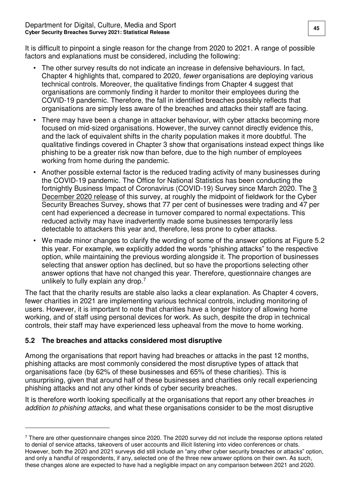It is difficult to pinpoint a single reason for the change from 2020 to 2021. A range of possible factors and explanations must be considered, including the following:

- The other survey results do not indicate an increase in defensive behaviours. In fact, Chapter 4 highlights that, compared to 2020, fewer organisations are deploying various technical controls. Moreover, the qualitative findings from Chapter 4 suggest that organisations are commonly finding it harder to monitor their employees during the COVID-19 pandemic. Therefore, the fall in identified breaches possibly reflects that organisations are simply less aware of the breaches and attacks their staff are facing.
- There may have been a change in attacker behaviour, with cyber attacks becoming more focused on mid-sized organisations. However, the survey cannot directly evidence this, and the lack of equivalent shifts in the charity population makes it more doubtful. The qualitative findings covered in Chapter 3 show that organisations instead expect things like phishing to be a greater risk now than before, due to the high number of employees working from home during the pandemic.
- Another possible external factor is the reduced trading activity of many businesses during the COVID-19 pandemic. The Office for National Statistics has been conducting the fortnightly Business Impact of Coronavirus (COVID-19) Survey since March 2020. The [3](https://www.ons.gov.uk/businessindustryandtrade/business/businessservices/bulletins/businessinsightsandimpactontheukeconomy/3december2020)  [December 2020 release](https://www.ons.gov.uk/businessindustryandtrade/business/businessservices/bulletins/businessinsightsandimpactontheukeconomy/3december2020) of this survey, at roughly the midpoint of fieldwork for the Cyber Security Breaches Survey, shows that 77 per cent of businesses were trading and 47 per cent had experienced a decrease in turnover compared to normal expectations. This reduced activity may have inadvertently made some businesses temporarily less detectable to attackers this year and, therefore, less prone to cyber attacks.
- We made minor changes to clarify the wording of some of the answer options at Figure 5.2 this year. For example, we explicitly added the words "phishing attacks" to the respective option, while maintaining the previous wording alongside it. The proportion of businesses selecting that answer option has declined, but so have the proportions selecting other answer options that have not changed this year. Therefore, questionnaire changes are unlikely to fully explain any drop.<sup>7</sup>

The fact that the charity results are stable also lacks a clear explanation. As Chapter 4 covers, fewer charities in 2021 are implementing various technical controls, including monitoring of users. However, it is important to note that charities have a longer history of allowing home working, and of staff using personal devices for work. As such, despite the drop in technical controls, their staff may have experienced less upheaval from the move to home working.

### <span id="page-46-0"></span>**5.2 The breaches and attacks considered most disruptive**

 $\overline{a}$ 

Among the organisations that report having had breaches or attacks in the past 12 months, phishing attacks are most commonly considered the most disruptive types of attack that organisations face (by 62% of these businesses and 65% of these charities). This is unsurprising, given that around half of these businesses and charities only recall experiencing phishing attacks and not any other kinds of cyber security breaches.

It is therefore worth looking specifically at the organisations that report any other breaches in addition to phishing attacks, and what these organisations consider to be the most disruptive

<sup>7</sup> There are other questionnaire changes since 2020. The 2020 survey did not include the response options related to denial of service attacks, takeovers of user accounts and illicit listening into video conferences or chats. However, both the 2020 and 2021 surveys did still include an "any other cyber security breaches or attacks" option, and only a handful of respondents, if any, selected one of the three new answer options on their own. As such, these changes alone are expected to have had a negligible impact on any comparison between 2021 and 2020.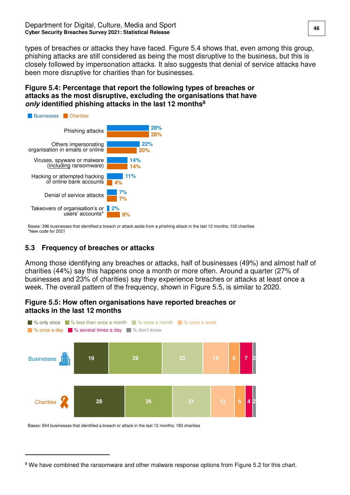types of breaches or attacks they have faced. Figure 5.4 shows that, even among this group, phishing attacks are still considered as being the most disruptive to the business, but this is closely followed by impersonation attacks. It also suggests that denial of service attacks have been more disruptive for charities than for businesses.

#### **Figure 5.4: Percentage that report the following types of breaches or attacks as the most disruptive, excluding the organisations that have only identified phishing attacks in the last 12 months<sup>8</sup>**

![](_page_47_Figure_3.jpeg)

Bases: 396 businesses that identified a breach or attack aside from a phishing attack in the last 12 months; 102 charities \*New code for 2021

### <span id="page-47-0"></span>**5.3 Frequency of breaches or attacks**

Among those identifying any breaches or attacks, half of businesses (49%) and almost half of charities (44%) say this happens once a month or more often. Around a quarter (27% of businesses and 23% of charities) say they experience breaches or attacks at least once a week. The overall pattern of the frequency, shown in Figure 5.5, is similar to 2020.

#### **Figure 5.5: How often organisations have reported breaches or attacks in the last 12 months**

![](_page_47_Figure_8.jpeg)

Bases: 654 businesses that identified a breach or attack in the last 12 months; 183 charities

 $\overline{a}$ 

<sup>&</sup>lt;sup>8</sup> We have combined the ransomware and other malware response options from Figure 5.2 for this chart.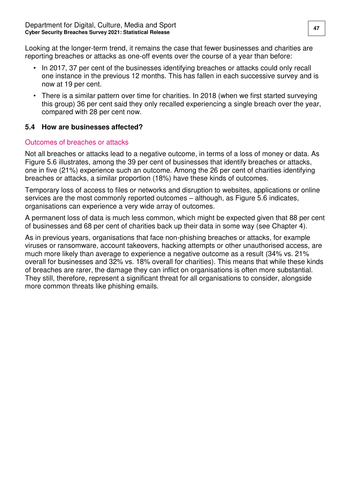Looking at the longer-term trend, it remains the case that fewer businesses and charities are reporting breaches or attacks as one-off events over the course of a year than before:

- In 2017, 37 per cent of the businesses identifying breaches or attacks could only recall one instance in the previous 12 months. This has fallen in each successive survey and is now at 19 per cent.
- There is a similar pattern over time for charities. In 2018 (when we first started surveying this group) 36 per cent said they only recalled experiencing a single breach over the year, compared with 28 per cent now.

#### <span id="page-48-0"></span>**5.4 How are businesses affected?**

#### Outcomes of breaches or attacks

Not all breaches or attacks lead to a negative outcome, in terms of a loss of money or data. As Figure 5.6 illustrates, among the 39 per cent of businesses that identify breaches or attacks, one in five (21%) experience such an outcome. Among the 26 per cent of charities identifying breaches or attacks, a similar proportion (18%) have these kinds of outcomes.

Temporary loss of access to files or networks and disruption to websites, applications or online services are the most commonly reported outcomes – although, as Figure 5.6 indicates, organisations can experience a very wide array of outcomes.

A permanent loss of data is much less common, which might be expected given that 88 per cent of businesses and 68 per cent of charities back up their data in some way (see Chapter 4).

As in previous years, organisations that face non-phishing breaches or attacks, for example viruses or ransomware, account takeovers, hacking attempts or other unauthorised access, are much more likely than average to experience a negative outcome as a result (34% vs. 21% overall for businesses and 32% vs. 18% overall for charities). This means that while these kinds of breaches are rarer, the damage they can inflict on organisations is often more substantial. They still, therefore, represent a significant threat for all organisations to consider, alongside more common threats like phishing emails.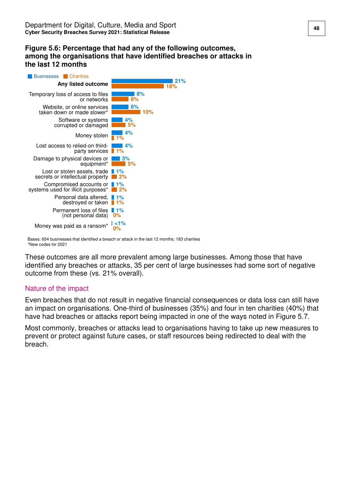#### **Figure 5.6: Percentage that had any of the following outcomes, among the organisations that have identified breaches or attacks in the last 12 months**

![](_page_49_Figure_2.jpeg)

Bases: 654 businesses that identified a breach or attack in the last 12 months; 183 charities \*New codes for 2021

These outcomes are all more prevalent among large businesses. Among those that have identified any breaches or attacks, 35 per cent of large businesses had some sort of negative outcome from these (vs. 21% overall).

#### Nature of the impact

Even breaches that do not result in negative financial consequences or data loss can still have an impact on organisations. One-third of businesses (35%) and four in ten charities (40%) that have had breaches or attacks report being impacted in one of the ways noted in Figure 5.7.

Most commonly, breaches or attacks lead to organisations having to take up new measures to prevent or protect against future cases, or staff resources being redirected to deal with the breach.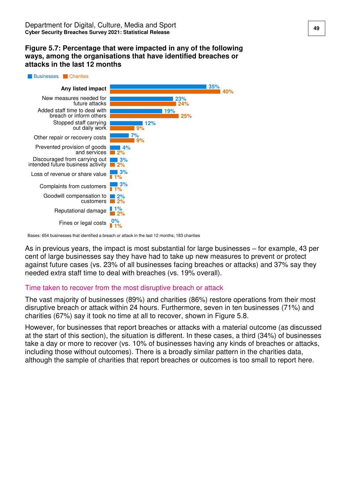#### **Figure 5.7: Percentage that were impacted in any of the following ways, among the organisations that have identified breaches or attacks in the last 12 months**

![](_page_50_Figure_2.jpeg)

Bases: 654 businesses that identified a breach or attack in the last 12 months; 183 charities

As in previous years, the impact is most substantial for large businesses – for example, 43 per cent of large businesses say they have had to take up new measures to prevent or protect against future cases (vs. 23% of all businesses facing breaches or attacks) and 37% say they needed extra staff time to deal with breaches (vs. 19% overall).

#### Time taken to recover from the most disruptive breach or attack

The vast majority of businesses (89%) and charities (86%) restore operations from their most disruptive breach or attack within 24 hours. Furthermore, seven in ten businesses (71%) and charities (67%) say it took no time at all to recover, shown in Figure 5.8.

However, for businesses that report breaches or attacks with a material outcome (as discussed at the start of this section), the situation is different. In these cases, a third (34%) of businesses take a day or more to recover (vs. 10% of businesses having any kinds of breaches or attacks, including those without outcomes). There is a broadly similar pattern in the charities data, although the sample of charities that report breaches or outcomes is too small to report here.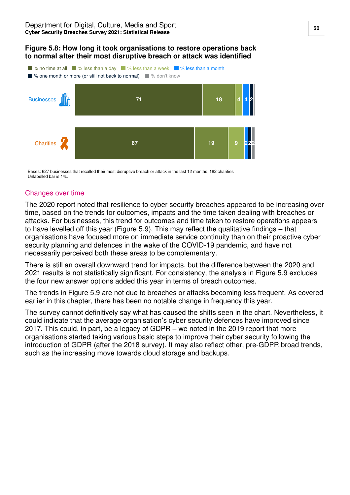#### **Figure 5.8: How long it took organisations to restore operations back to normal after their most disruptive breach or attack was identified**

![](_page_51_Figure_2.jpeg)

Bases: 627 businesses that recalled their most disruptive breach or attack in the last 12 months; 182 charities Unlabelled bar is 1%.

#### Changes over time

The 2020 report noted that resilience to cyber security breaches appeared to be increasing over time, based on the trends for outcomes, impacts and the time taken dealing with breaches or attacks. For businesses, this trend for outcomes and time taken to restore operations appears to have levelled off this year (Figure 5.9). This may reflect the qualitative findings – that organisations have focused more on immediate service continuity than on their proactive cyber security planning and defences in the wake of the COVID-19 pandemic, and have not necessarily perceived both these areas to be complementary.

There is still an overall downward trend for impacts, but the difference between the 2020 and 2021 results is not statistically significant. For consistency, the analysis in Figure 5.9 excludes the four new answer options added this year in terms of breach outcomes.

The trends in Figure 5.9 are not due to breaches or attacks becoming less frequent. As covered earlier in this chapter, there has been no notable change in frequency this year.

The survey cannot definitively say what has caused the shifts seen in the chart. Nevertheless, it could indicate that the average organisation's cyber security defences have improved since 2017. This could, in part, be a legacy of GDPR – we noted in the [2019 report](https://www.gov.uk/government/statistics/cyber-security-breaches-survey-2019) that more organisations started taking various basic steps to improve their cyber security following the introduction of GDPR (after the 2018 survey). It may also reflect other, pre-GDPR broad trends, such as the increasing move towards cloud storage and backups.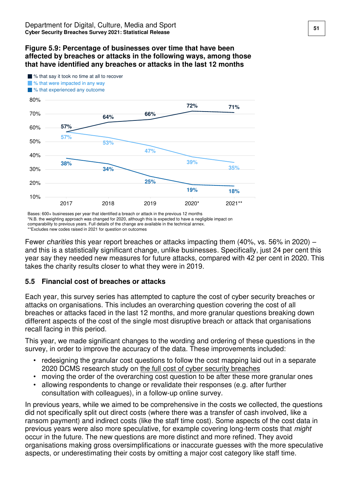#### **Figure 5.9: Percentage of businesses over time that have been affected by breaches or attacks in the following ways, among those that have identified any breaches or attacks in the last 12 months**

![](_page_52_Figure_2.jpeg)

Bases: 600+ businesses per year that identified a breach or attack in the previous 12 months

\*N.B. the weighting approach was changed for 2020, although this is expected to have a negligible impact on

comparability to previous years. Full details of the change are available in the technical annex.

\*\*Excludes new codes raised in 2021 for question on outcomes

Fewer charities this year report breaches or attacks impacting them (40%, vs. 56% in 2020) – and this is a statistically significant change, unlike businesses. Specifically, just 24 per cent this year say they needed new measures for future attacks, compared with 42 per cent in 2020. This takes the charity results closer to what they were in 2019.

#### <span id="page-52-0"></span>**5.5 Financial cost of breaches or attacks**

Each year, this survey series has attempted to capture the cost of cyber security breaches or attacks on organisations. This includes an overarching question covering the cost of all breaches or attacks faced in the last 12 months, and more granular questions breaking down different aspects of the cost of the single most disruptive breach or attack that organisations recall facing in this period.

This year, we made significant changes to the wording and ordering of these questions in the survey, in order to improve the accuracy of the data. These improvements included:

- redesigning the granular cost questions to follow the cost mapping laid out in a separate 2020 DCMS research study on the full cost of cyber security breaches
- moving the order of the overarching cost question to be after these more granular ones
- allowing respondents to change or revalidate their responses (e.g. after further consultation with colleagues), in a follow-up online survey.

In previous years, while we aimed to be comprehensive in the costs we collected, the questions did not specifically split out direct costs (where there was a transfer of cash involved, like a ransom payment) and indirect costs (like the staff time cost). Some aspects of the cost data in previous years were also more speculative, for example covering long-term costs that might occur in the future. The new questions are more distinct and more refined. They avoid organisations making gross oversimplifications or inaccurate guesses with the more speculative aspects, or underestimating their costs by omitting a major cost category like staff time.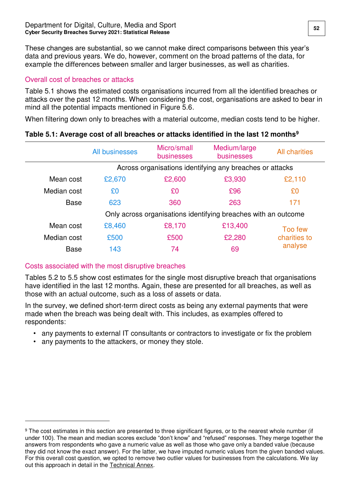These changes are substantial, so we cannot make direct comparisons between this year's data and previous years. We do, however, comment on the broad patterns of the data, for example the differences between smaller and larger businesses, as well as charities.

#### Overall cost of breaches or attacks

Table 5.1 shows the estimated costs organisations incurred from all the identified breaches or attacks over the past 12 months. When considering the cost, organisations are asked to bear in mind all the potential impacts mentioned in Figure 5.6.

When filtering down only to breaches with a material outcome, median costs tend to be higher.

|             | All businesses                                           | Micro/small<br>businesses | Medium/large<br>businesses                                     | <b>All charities</b> |
|-------------|----------------------------------------------------------|---------------------------|----------------------------------------------------------------|----------------------|
|             | Across organisations identifying any breaches or attacks |                           |                                                                |                      |
| Mean cost   | £2,670                                                   | £2,600                    | £3,930                                                         | £2,110               |
| Median cost | £0                                                       | £0                        | £96                                                            | £0                   |
| <b>Base</b> | 623                                                      | 360                       | 263                                                            | 171                  |
|             |                                                          |                           | Only across organisations identifying breaches with an outcome |                      |
| Mean cost   | £8,460                                                   | £8,170                    | £13,400                                                        | Too few              |
| Median cost | £500                                                     | £500                      | £2,280                                                         | charities to         |
| <b>Base</b> | 143                                                      | 74                        | 69                                                             | analyse              |
|             |                                                          |                           |                                                                |                      |

#### **Table 5.1: Average cost of all breaches or attacks identified in the last 12 months<sup>9</sup>**

### Costs associated with the most disruptive breaches

Tables 5.2 to 5.5 show cost estimates for the single most disruptive breach that organisations have identified in the last 12 months. Again, these are presented for all breaches, as well as those with an actual outcome, such as a loss of assets or data.

In the survey, we defined short-term direct costs as being any external payments that were made when the breach was being dealt with. This includes, as examples offered to respondents:

- any payments to external IT consultants or contractors to investigate or fix the problem
- any payments to the attackers, or money they stole.

 $\overline{a}$ 

 $9$  The cost estimates in this section are presented to three significant figures, or to the nearest whole number (if under 100). The mean and median scores exclude "don't know" and "refused" responses. They merge together the answers from respondents who gave a numeric value as well as those who gave only a banded value (because they did not know the exact answer). For the latter, we have imputed numeric values from the given banded values. For this overall cost question, we opted to remove two outlier values for businesses from the calculations. We lay out this approach in detail in the [Technical Annex.](https://www.gov.uk/government/statistics/cyber-security-breaches-survey-2021)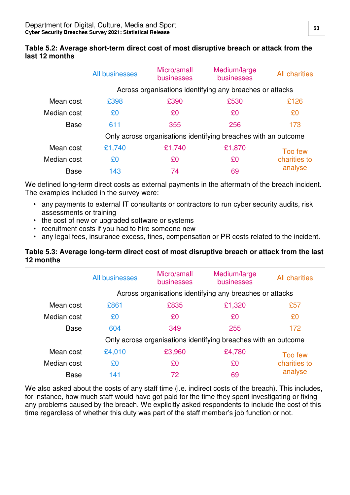|             | All businesses                                                 | Micro/small<br><b>businesses</b> | Medium/large<br>businesses | <b>All charities</b> |  |
|-------------|----------------------------------------------------------------|----------------------------------|----------------------------|----------------------|--|
|             | Across organisations identifying any breaches or attacks       |                                  |                            |                      |  |
| Mean cost   | £398                                                           | £390                             | £530                       | £126                 |  |
| Median cost | £0                                                             | £0                               | £0                         | £0                   |  |
| <b>Base</b> | 611                                                            | 355                              | 256                        | 173                  |  |
|             | Only across organisations identifying breaches with an outcome |                                  |                            |                      |  |
| Mean cost   | £1,740                                                         | £1,740                           | £1,870                     | Too few              |  |
| Median cost | £0                                                             | £0                               | £0                         | charities to         |  |
| <b>Base</b> | 143                                                            | 74                               | 69                         | analyse              |  |

#### **Table 5.2: Average short-term direct cost of most disruptive breach or attack from the last 12 months**

We defined long-term direct costs as external payments in the aftermath of the breach incident. The examples included in the survey were:

- any payments to external IT consultants or contractors to run cyber security audits, risk assessments or training
- the cost of new or upgraded software or systems
- recruitment costs if you had to hire someone new
- any legal fees, insurance excess, fines, compensation or PR costs related to the incident.

#### **Table 5.3: Average long-term direct cost of most disruptive breach or attack from the last 12 months**

|             | All businesses                                                 | Micro/small<br>businesses | Medium/large<br>businesses | <b>All charities</b> |  |
|-------------|----------------------------------------------------------------|---------------------------|----------------------------|----------------------|--|
|             | Across organisations identifying any breaches or attacks       |                           |                            |                      |  |
| Mean cost   | £861                                                           | £835                      | £1,320                     | £57                  |  |
| Median cost | £0                                                             | £0                        | £0                         | £0                   |  |
| <b>Base</b> | 604                                                            | 349                       | 255                        | 172                  |  |
|             | Only across organisations identifying breaches with an outcome |                           |                            |                      |  |
| Mean cost   | £4,010                                                         | £3,960                    | £4,780                     | Too few              |  |
| Median cost | £0                                                             | £0                        | £0                         | charities to         |  |
| <b>Base</b> | 141                                                            | 72                        | 69                         | analyse              |  |

We also asked about the costs of any staff time (i.e. indirect costs of the breach). This includes, for instance, how much staff would have got paid for the time they spent investigating or fixing any problems caused by the breach. We explicitly asked respondents to include the cost of this time regardless of whether this duty was part of the staff member's job function or not.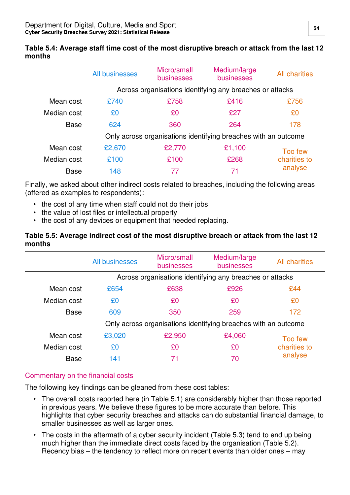**Table 5.4: Average staff time cost of the most disruptive breach or attack from the last 12 months** 

|             | All businesses                                                 | Micro/small<br>businesses | Medium/large<br>businesses | <b>All charities</b> |
|-------------|----------------------------------------------------------------|---------------------------|----------------------------|----------------------|
|             | Across organisations identifying any breaches or attacks       |                           |                            |                      |
| Mean cost   | £740                                                           | £758                      | £416                       | £756                 |
| Median cost | £0                                                             | £0                        | £27                        | £0                   |
| <b>Base</b> | 624                                                            | 360                       | 264                        | 178                  |
|             | Only across organisations identifying breaches with an outcome |                           |                            |                      |
| Mean cost   | £2,670                                                         | £2,770                    | £1,100                     | Too few              |
| Median cost | £100                                                           | £100                      | £268                       | charities to         |
| <b>Base</b> | 148                                                            | 77                        | 71                         | analyse              |

Finally, we asked about other indirect costs related to breaches, including the following areas (offered as examples to respondents):

- the cost of any time when staff could not do their jobs
- the value of lost files or intellectual property
- the cost of any devices or equipment that needed replacing.

#### **Table 5.5: Average indirect cost of the most disruptive breach or attack from the last 12 months**

|             | <b>All businesses</b>                                          | Micro/small<br><b>businesses</b> | Medium/large<br>businesses | <b>All charities</b> |  |
|-------------|----------------------------------------------------------------|----------------------------------|----------------------------|----------------------|--|
|             | Across organisations identifying any breaches or attacks       |                                  |                            |                      |  |
| Mean cost   | £654                                                           | £638                             | £926                       | £44                  |  |
| Median cost | £0                                                             | £0                               | £0                         | £0                   |  |
| <b>Base</b> | 609                                                            | 350                              | 259                        | 172                  |  |
|             | Only across organisations identifying breaches with an outcome |                                  |                            |                      |  |
| Mean cost   | £3,020                                                         | £2,950                           | £4,060                     | Too few              |  |
| Median cost | £0                                                             | £0                               | £0                         | charities to         |  |
| <b>Base</b> | 141                                                            | 71                               | 70                         | analyse              |  |

### Commentary on the financial costs

The following key findings can be gleaned from these cost tables:

- The overall costs reported here (in Table 5.1) are considerably higher than those reported in previous years. We believe these figures to be more accurate than before. This highlights that cyber security breaches and attacks can do substantial financial damage, to smaller businesses as well as larger ones.
- The costs in the aftermath of a cyber security incident (Table 5.3) tend to end up being much higher than the immediate direct costs faced by the organisation (Table 5.2). Recency bias – the tendency to reflect more on recent events than older ones – may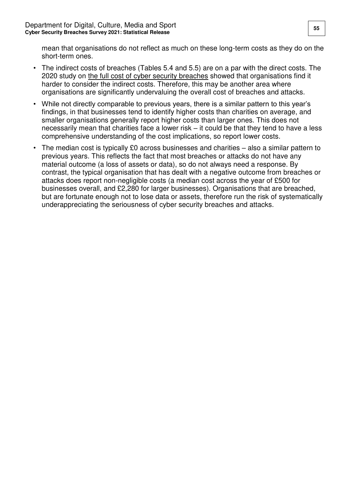mean that organisations do not reflect as much on these long-term costs as they do on the short-term ones.

- The indirect costs of breaches (Tables 5.4 and 5.5) are on a par with the direct costs. The 2020 study on [the full cost of cyber security breaches](https://www.gov.uk/government/publications/cyber-security-incentives-regulation-review-government-response-to-the-call-for-evidence) showed that organisations find it harder to consider the indirect costs. Therefore, this may be another area where organisations are significantly undervaluing the overall cost of breaches and attacks.
- While not directly comparable to previous years, there is a similar pattern to this year's findings, in that businesses tend to identify higher costs than charities on average, and smaller organisations generally report higher costs than larger ones. This does not necessarily mean that charities face a lower risk – it could be that they tend to have a less comprehensive understanding of the cost implications, so report lower costs.
- The median cost is typically £0 across businesses and charities also a similar pattern to previous years. This reflects the fact that most breaches or attacks do not have any material outcome (a loss of assets or data), so do not always need a response. By contrast, the typical organisation that has dealt with a negative outcome from breaches or attacks does report non-negligible costs (a median cost across the year of £500 for businesses overall, and £2,280 for larger businesses). Organisations that are breached, but are fortunate enough not to lose data or assets, therefore run the risk of systematically underappreciating the seriousness of cyber security breaches and attacks.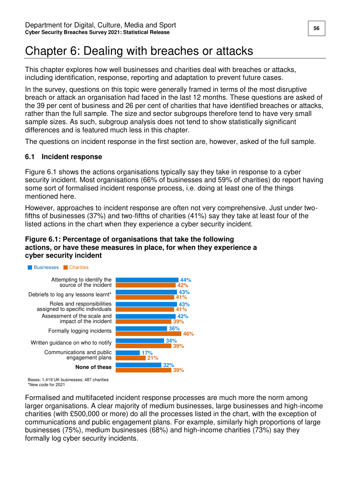# <span id="page-57-0"></span>Chapter 6: Dealing with breaches or attacks

This chapter explores how well businesses and charities deal with breaches or attacks, including identification, response, reporting and adaptation to prevent future cases.

In the survey, questions on this topic were generally framed in terms of the most disruptive breach or attack an organisation had faced in the last 12 months. These questions are asked of the 39 per cent of business and 26 per cent of charities that have identified breaches or attacks, rather than the full sample. The size and sector subgroups therefore tend to have very small sample sizes. As such, subgroup analysis does not tend to show statistically significant differences and is featured much less in this chapter.

The questions on incident response in the first section are, however, asked of the full sample.

#### <span id="page-57-1"></span>**6.1 Incident response**

Figure 6.1 shows the actions organisations typically say they take in response to a cyber security incident. Most organisations (66% of businesses and 59% of charities) do report having some sort of formalised incident response process, i.e. doing at least one of the things mentioned here.

However, approaches to incident response are often not very comprehensive. Just under twofifths of businesses (37%) and two-fifths of charities (41%) say they take at least four of the listed actions in the chart when they experience a cyber security incident.

#### **Figure 6.1: Percentage of organisations that take the following actions, or have these measures in place, for when they experience a cyber security incident**

![](_page_57_Figure_9.jpeg)

Bases: 1,419 UK businesses; 487 charities \*New code for 2021

Formalised and multifaceted incident response processes are much more the norm among larger organisations. A clear majority of medium businesses, large businesses and high-income charities (with £500,000 or more) do all the processes listed in the chart, with the exception of communications and public engagement plans. For example, similarly high proportions of large businesses (75%), medium businesses (68%) and high-income charities (73%) say they formally log cyber security incidents.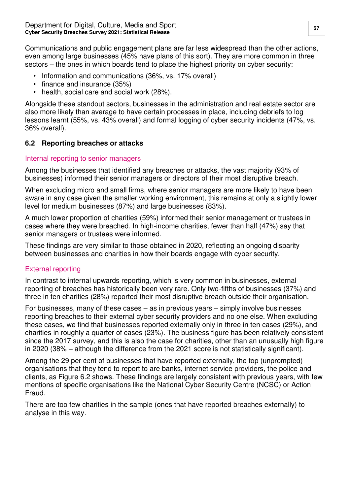Communications and public engagement plans are far less widespread than the other actions, even among large businesses (45% have plans of this sort). They are more common in three sectors – the ones in which boards tend to place the highest priority on cyber security:

- Information and communications (36%, vs. 17% overall)
- finance and insurance (35%)
- health, social care and social work (28%).

Alongside these standout sectors, businesses in the administration and real estate sector are also more likely than average to have certain processes in place, including debriefs to log lessons learnt (55%, vs. 43% overall) and formal logging of cyber security incidents (47%, vs. 36% overall).

#### <span id="page-58-0"></span>**6.2 Reporting breaches or attacks**

#### Internal reporting to senior managers

Among the businesses that identified any breaches or attacks, the vast majority (93% of businesses) informed their senior managers or directors of their most disruptive breach.

When excluding micro and small firms, where senior managers are more likely to have been aware in any case given the smaller working environment, this remains at only a slightly lower level for medium businesses (87%) and large businesses (83%).

A much lower proportion of charities (59%) informed their senior management or trustees in cases where they were breached. In high-income charities, fewer than half (47%) say that senior managers or trustees were informed.

These findings are very similar to those obtained in 2020, reflecting an ongoing disparity between businesses and charities in how their boards engage with cyber security.

#### External reporting

In contrast to internal upwards reporting, which is very common in businesses, external reporting of breaches has historically been very rare. Only two-fifths of businesses (37%) and three in ten charities (28%) reported their most disruptive breach outside their organisation.

For businesses, many of these cases – as in previous years – simply involve businesses reporting breaches to their external cyber security providers and no one else. When excluding these cases, we find that businesses reported externally only in three in ten cases (29%), and charities in roughly a quarter of cases (23%). The business figure has been relatively consistent since the 2017 survey, and this is also the case for charities, other than an unusually high figure in 2020 (38% – although the difference from the 2021 score is not statistically significant).

Among the 29 per cent of businesses that have reported externally, the top (unprompted) organisations that they tend to report to are banks, internet service providers, the police and clients, as Figure 6.2 shows. These findings are largely consistent with previous years, with few mentions of specific organisations like the National Cyber Security Centre (NCSC) or Action Fraud.

There are too few charities in the sample (ones that have reported breaches externally) to analyse in this way.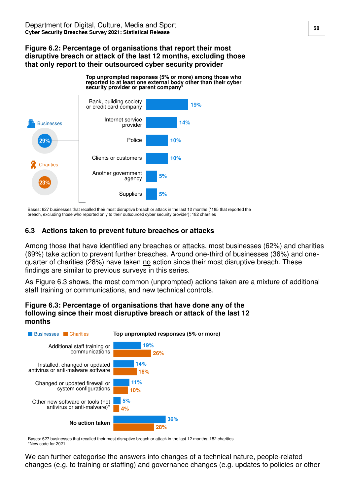#### **Figure 6.2: Percentage of organisations that report their most disruptive breach or attack of the last 12 months, excluding those that only report to their outsourced cyber security provider**

![](_page_59_Figure_2.jpeg)

Bases: 627 businesses that recalled their most disruptive breach or attack in the last 12 months (\*185 that reported the breach, excluding those who reported only to their outsourced cyber security provider); 182 charities

#### <span id="page-59-0"></span>**6.3 Actions taken to prevent future breaches or attacks**

Among those that have identified any breaches or attacks, most businesses (62%) and charities (69%) take action to prevent further breaches. Around one-third of businesses (36%) and onequarter of charities (28%) have taken no action since their most disruptive breach. These findings are similar to previous surveys in this series.

As Figure 6.3 shows, the most common (unprompted) actions taken are a mixture of additional staff training or communications, and new technical controls.

#### **Figure 6.3: Percentage of organisations that have done any of the following since their most disruptive breach or attack of the last 12 months**

![](_page_59_Figure_8.jpeg)

Bases: 627 businesses that recalled their most disruptive breach or attack in the last 12 months; 182 charities \*New code for 2021

We can further categorise the answers into changes of a technical nature, people-related changes (e.g. to training or staffing) and governance changes (e.g. updates to policies or other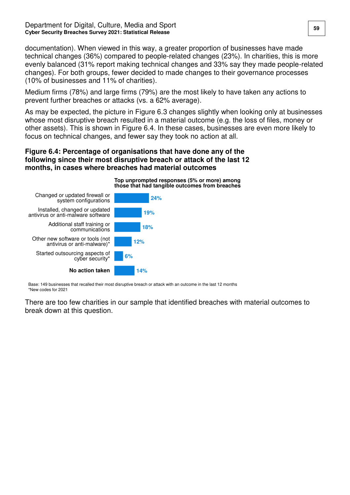documentation). When viewed in this way, a greater proportion of businesses have made technical changes (36%) compared to people-related changes (23%). In charities, this is more evenly balanced (31% report making technical changes and 33% say they made people-related changes). For both groups, fewer decided to made changes to their governance processes (10% of businesses and 11% of charities).

Medium firms (78%) and large firms (79%) are the most likely to have taken any actions to prevent further breaches or attacks (vs. a 62% average).

As may be expected, the picture in Figure 6.3 changes slightly when looking only at businesses whose most disruptive breach resulted in a material outcome (e.g. the loss of files, money or other assets). This is shown in Figure 6.4. In these cases, businesses are even more likely to focus on technical changes, and fewer say they took no action at all.

#### **Figure 6.4: Percentage of organisations that have done any of the following since their most disruptive breach or attack of the last 12 months, in cases where breaches had material outcomes**

![](_page_60_Figure_5.jpeg)

Base: 149 businesses that recalled their most disruptive breach or attack with an outcome in the last 12 months \*New codes for 2021

There are too few charities in our sample that identified breaches with material outcomes to break down at this question.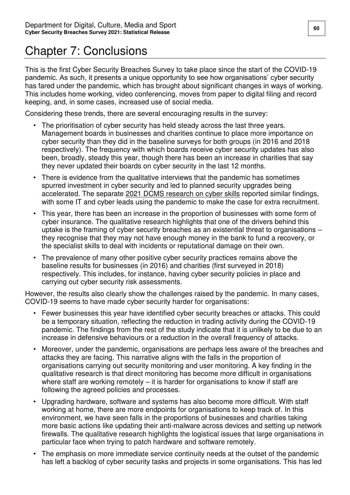# <span id="page-61-0"></span>Chapter 7: Conclusions

This is the first Cyber Security Breaches Survey to take place since the start of the COVID-19 pandemic. As such, it presents a unique opportunity to see how organisations' cyber security has fared under the pandemic, which has brought about significant changes in ways of working. This includes home working, video conferencing, moves from paper to digital filing and record keeping, and, in some cases, increased use of social media.

Considering these trends, there are several encouraging results in the survey:

- The prioritisation of cyber security has held steady across the last three years. Management boards in businesses and charities continue to place more importance on cyber security than they did in the baseline surveys for both groups (in 2016 and 2018 respectively). The frequency with which boards receive cyber security updates has also been, broadly, steady this year, though there has been an increase in charities that say they never updated their boards on cyber security in the last 12 months.
- There is evidence from the qualitative interviews that the pandemic has sometimes spurred investment in cyber security and led to planned security upgrades being accelerated. The separate [2021 DCMS research on cyber skills](https://www.gov.uk/government/publications/cyber-security-skills-in-the-uk-labour-market-2021) reported similar findings, with some IT and cyber leads using the pandemic to make the case for extra recruitment.
- This year, there has been an increase in the proportion of businesses with some form of cyber insurance. The qualitative research highlights that one of the drivers behind this uptake is the framing of cyber security breaches as an existential threat to organisations – they recognise that they may not have enough money in the bank to fund a recovery, or the specialist skills to deal with incidents or reputational damage on their own.
- The prevalence of many other positive cyber security practices remains above the baseline results for businesses (in 2016) and charities (first surveyed in 2018) respectively. This includes, for instance, having cyber security policies in place and carrying out cyber security risk assessments.

However, the results also clearly show the challenges raised by the pandemic. In many cases, COVID-19 seems to have made cyber security harder for organisations:

- Fewer businesses this year have identified cyber security breaches or attacks. This could be a temporary situation, reflecting the reduction in trading activity during the COVID-19 pandemic. The findings from the rest of the study indicate that it is unlikely to be due to an increase in defensive behaviours or a reduction in the overall frequency of attacks.
- Moreover, under the pandemic, organisations are perhaps less aware of the breaches and attacks they are facing. This narrative aligns with the falls in the proportion of organisations carrying out security monitoring and user monitoring. A key finding in the qualitative research is that direct monitoring has become more difficult in organisations where staff are working remotely – it is harder for organisations to know if staff are following the agreed policies and processes.
- Upgrading hardware, software and systems has also become more difficult. With staff working at home, there are more endpoints for organisations to keep track of. In this environment, we have seen falls in the proportions of businesses and charities taking more basic actions like updating their anti-malware across devices and setting up network firewalls. The qualitative research highlights the logistical issues that large organisations in particular face when trying to patch hardware and software remotely.
- The emphasis on more immediate service continuity needs at the outset of the pandemic has left a backlog of cyber security tasks and projects in some organisations. This has led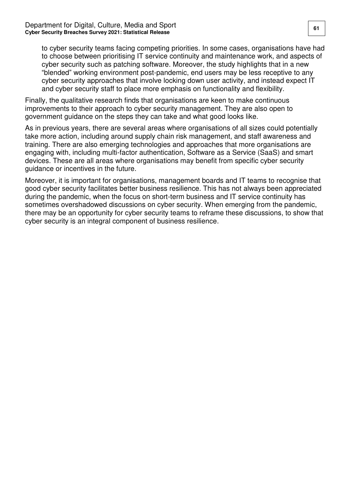to cyber security teams facing competing priorities. In some cases, organisations have had to choose between prioritising IT service continuity and maintenance work, and aspects of cyber security such as patching software. Moreover, the study highlights that in a new "blended" working environment post-pandemic, end users may be less receptive to any cyber security approaches that involve locking down user activity, and instead expect IT and cyber security staff to place more emphasis on functionality and flexibility.

Finally, the qualitative research finds that organisations are keen to make continuous improvements to their approach to cyber security management. They are also open to government guidance on the steps they can take and what good looks like.

As in previous years, there are several areas where organisations of all sizes could potentially take more action, including around supply chain risk management, and staff awareness and training. There are also emerging technologies and approaches that more organisations are engaging with, including multi-factor authentication, Software as a Service (SaaS) and smart devices. These are all areas where organisations may benefit from specific cyber security guidance or incentives in the future.

Moreover, it is important for organisations, management boards and IT teams to recognise that good cyber security facilitates better business resilience. This has not always been appreciated during the pandemic, when the focus on short-term business and IT service continuity has sometimes overshadowed discussions on cyber security. When emerging from the pandemic, there may be an opportunity for cyber security teams to reframe these discussions, to show that cyber security is an integral component of business resilience.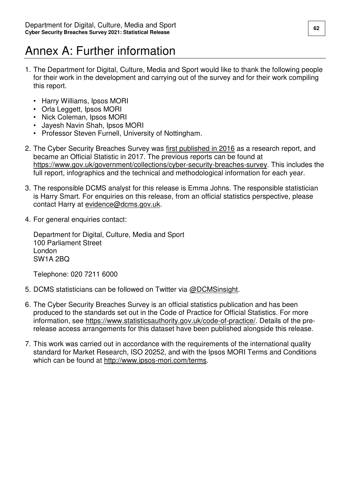# <span id="page-63-0"></span>Annex A: Further information

- 1. The Department for Digital, Culture, Media and Sport would like to thank the following people for their work in the development and carrying out of the survey and for their work compiling this report.
	- Harry Williams, Ipsos MORI
	- Orla Leggett, Ipsos MORI
	- Nick Coleman, Ipsos MORI
	- Jayesh Navin Shah, Ipsos MORI
	- Professor Steven Furnell, University of Nottingham.
- 2. The Cyber Security Breaches Survey was [first published in 2016](https://www.gov.uk/government/publications/cyber-security-breaches-survey-2016) as a research report, and became an Official Statistic in 2017. The previous reports can be found at [https://www.gov.uk/government/collections/cyber-security-breaches-survey.](https://www.gov.uk/government/collections/cyber-security-breaches-survey) This includes the full report, infographics and the technical and methodological information for each year.
- 3. The responsible DCMS analyst for this release is Emma Johns. The responsible statistician is Harry Smart. For enquiries on this release, from an official statistics perspective, please contact Harry at [evidence@dcms.gov.uk.](mailto:evidence@dcms.gov.uk)
- 4. For general enquiries contact:

Department for Digital, Culture, Media and Sport 100 Parliament Street London SW1A 2BQ

Telephone: 020 7211 6000

- 5. DCMS statisticians can be followed on Twitter via [@DCMSinsight.](http://www.twitter.com/DCMSInsight)
- 6. The Cyber Security Breaches Survey is an official statistics publication and has been produced to the standards set out in the Code of Practice for Official Statistics. For more information, see [https://www.statisticsauthority.gov.uk/code-of-practice/.](https://www.statisticsauthority.gov.uk/code-of-practice/) Details of the prerelease access arrangements for this dataset have been published alongside this release.
- 7. This work was carried out in accordance with the requirements of the international quality standard for Market Research, ISO 20252, and with the Ipsos MORI Terms and Conditions which can be found at [http://www.ipsos-mori.com/terms.](http://www.ipsos-mori.com/terms)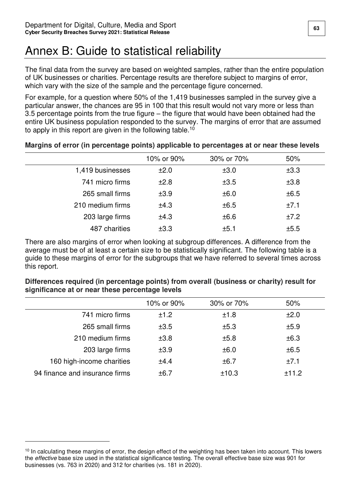# <span id="page-64-0"></span>Annex B: Guide to statistical reliability

The final data from the survey are based on weighted samples, rather than the entire population of UK businesses or charities. Percentage results are therefore subject to margins of error, which vary with the size of the sample and the percentage figure concerned.

For example, for a question where 50% of the 1,419 businesses sampled in the survey give a particular answer, the chances are 95 in 100 that this result would not vary more or less than 3.5 percentage points from the true figure – the figure that would have been obtained had the entire UK business population responded to the survey. The margins of error that are assumed to apply in this report are given in the following table.<sup>10</sup>

|                  | 10% or 90% | 30% or 70% | 50%  |
|------------------|------------|------------|------|
| 1,419 businesses | ±2.0       | ±3.0       | ±3.3 |
| 741 micro firms  | ±2.8       | ±3.5       | ±3.8 |
| 265 small firms  | ±3.9       | ±6.0       | ±6.5 |
| 210 medium firms | ±4.3       | ±6.5       | ±7.1 |
| 203 large firms  | ±4.3       | ±6.6       | ±7.2 |
| 487 charities    | ±3.3       | ±5.1       | ±5.5 |
|                  |            |            |      |

#### **Margins of error (in percentage points) applicable to percentages at or near these levels**

There are also margins of error when looking at subgroup differences. A difference from the average must be of at least a certain size to be statistically significant. The following table is a guide to these margins of error for the subgroups that we have referred to several times across this report.

|                                | 10% or 90% | 30% or 70% | 50%   |  |
|--------------------------------|------------|------------|-------|--|
| 741 micro firms                | ±1.2       | ±1.8       | ±2.0  |  |
| 265 small firms                | ±3.5       | ±5.3       | ±5.9  |  |
| 210 medium firms               | ±3.8       | ±5.8       | ±6.3  |  |
| 203 large firms                | ±3.9       | ±6.0       | ±6.5  |  |
| 160 high-income charities      | ±4.4       | ±6.7       | ±7.1  |  |
| 94 finance and insurance firms | ±6.7       | ±10.3      | ±11.2 |  |

#### **Differences required (in percentage points) from overall (business or charity) result for significance at or near these percentage levels**

 $\overline{a}$ 

<sup>&</sup>lt;sup>10</sup> In calculating these margins of error, the design effect of the weighting has been taken into account. This lowers the effective base size used in the statistical significance testing. The overall effective base size was 901 for businesses (vs. 763 in 2020) and 312 for charities (vs. 181 in 2020).